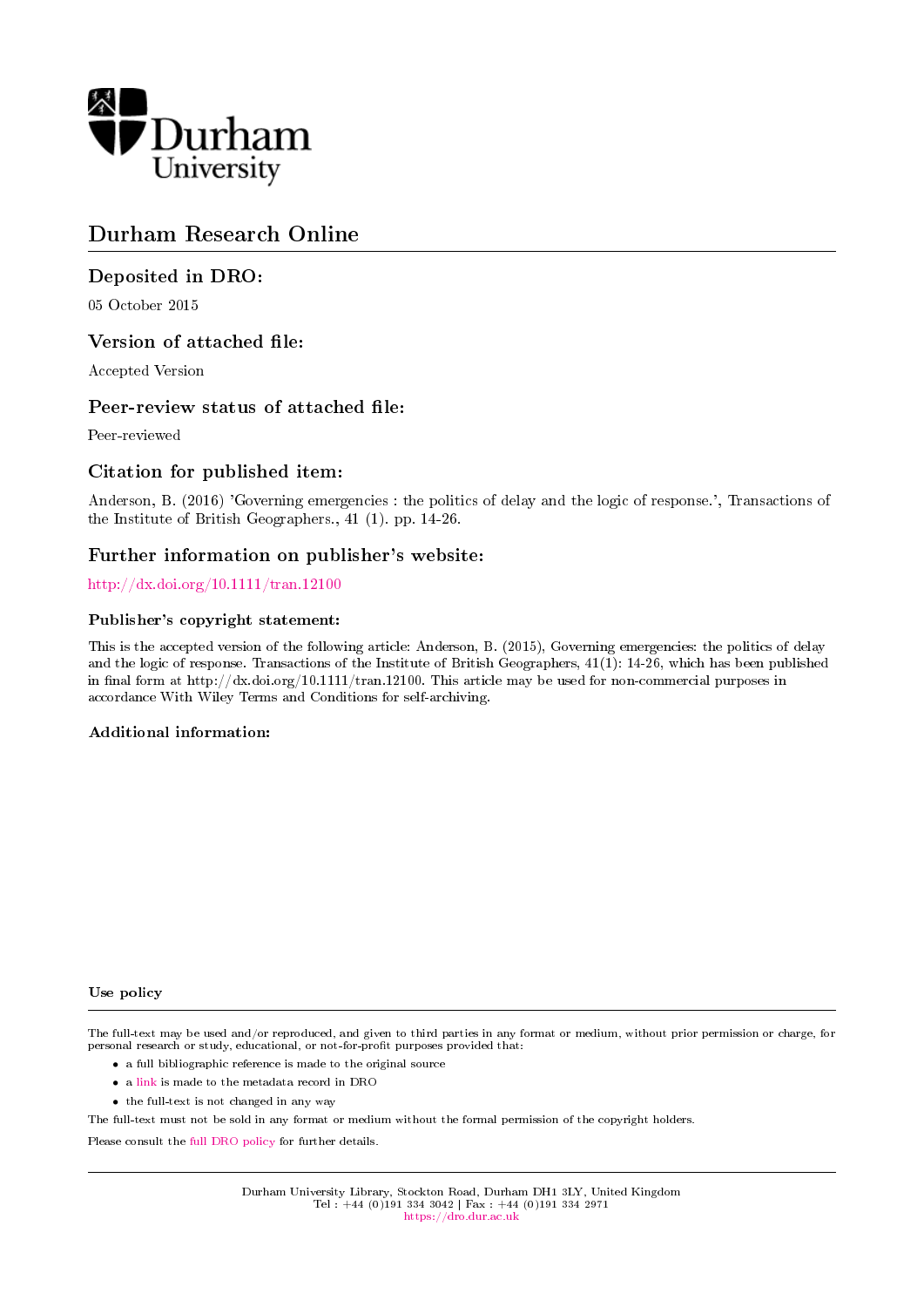

# Durham Research Online

### Deposited in DRO:

05 October 2015

### Version of attached file:

Accepted Version

### Peer-review status of attached file:

Peer-reviewed

### Citation for published item:

Anderson, B. (2016) 'Governing emergencies : the politics of delay and the logic of response.', Transactions of the Institute of British Geographers., 41 (1). pp. 14-26.

### Further information on publisher's website:

<http://dx.doi.org/10.1111/tran.12100>

#### Publisher's copyright statement:

This is the accepted version of the following article: Anderson, B. (2015), Governing emergencies: the politics of delay and the logic of response. Transactions of the Institute of British Geographers, 41(1): 14-26, which has been published in final form at http://dx.doi.org/10.1111/tran.12100. This article may be used for non-commercial purposes in accordance With Wiley Terms and Conditions for self-archiving.

#### Additional information:

#### Use policy

The full-text may be used and/or reproduced, and given to third parties in any format or medium, without prior permission or charge, for personal research or study, educational, or not-for-profit purposes provided that:

- a full bibliographic reference is made to the original source
- a [link](http://dro.dur.ac.uk/16489/) is made to the metadata record in DRO
- the full-text is not changed in any way

The full-text must not be sold in any format or medium without the formal permission of the copyright holders.

Please consult the [full DRO policy](https://dro.dur.ac.uk/policies/usepolicy.pdf) for further details.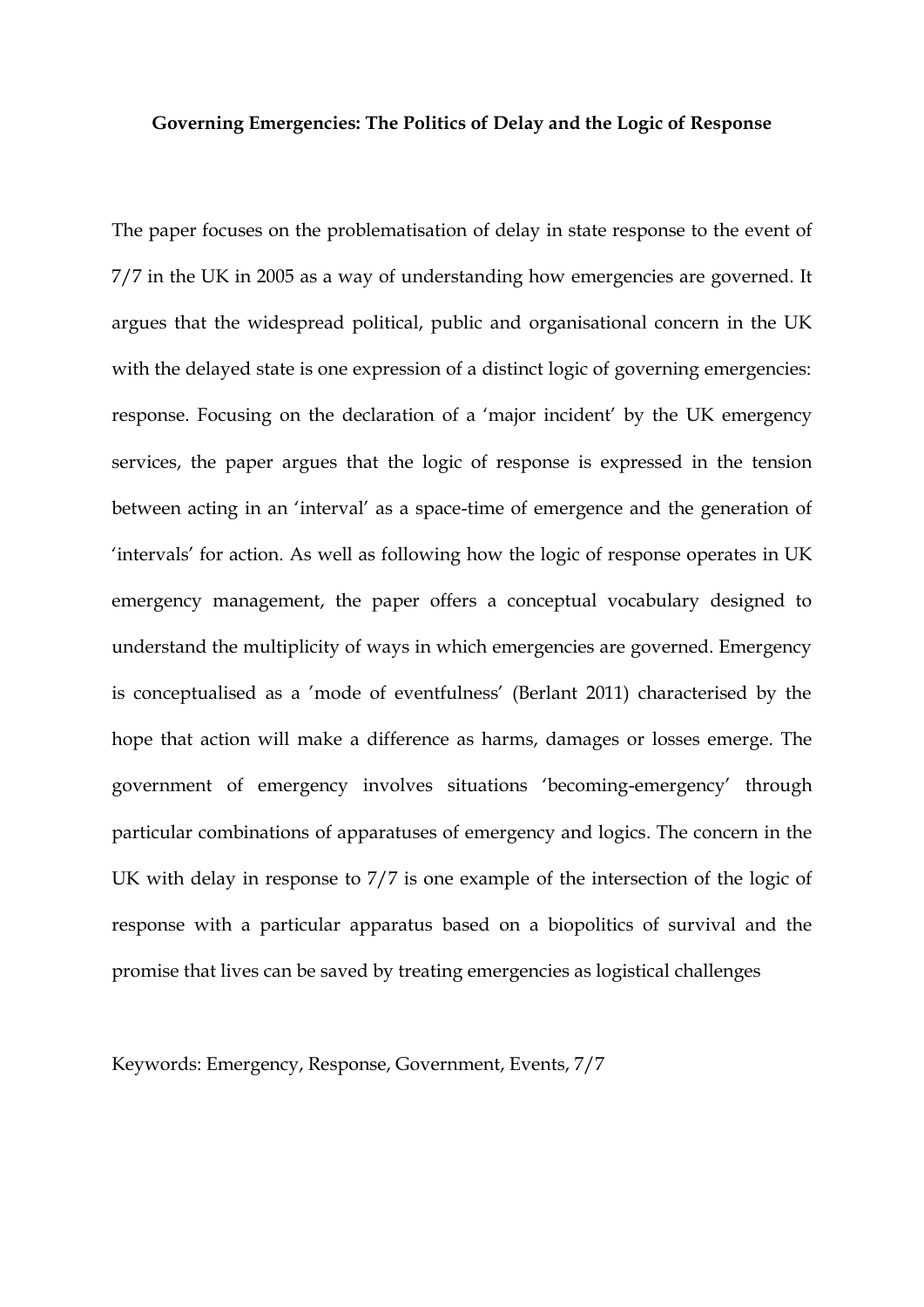#### **Governing Emergencies: The Politics of Delay and the Logic of Response**

The paper focuses on the problematisation of delay in state response to the event of 7/7 in the UK in 2005 as a way of understanding how emergencies are governed. It argues that the widespread political, public and organisational concern in the UK with the delayed state is one expression of a distinct logic of governing emergencies: response. Focusing on the declaration of a 'major incident' by the UK emergency services, the paper argues that the logic of response is expressed in the tension between acting in an 'interval' as a space-time of emergence and the generation of 'intervals' for action. As well as following how the logic of response operates in UK emergency management, the paper offers a conceptual vocabulary designed to understand the multiplicity of ways in which emergencies are governed. Emergency is conceptualised as a 'mode of eventfulness' (Berlant 2011) characterised by the hope that action will make a difference as harms, damages or losses emerge. The government of emergency involves situations 'becoming-emergency' through particular combinations of apparatuses of emergency and logics. The concern in the UK with delay in response to 7/7 is one example of the intersection of the logic of response with a particular apparatus based on a biopolitics of survival and the promise that lives can be saved by treating emergencies as logistical challenges

Keywords: Emergency, Response, Government, Events, 7/7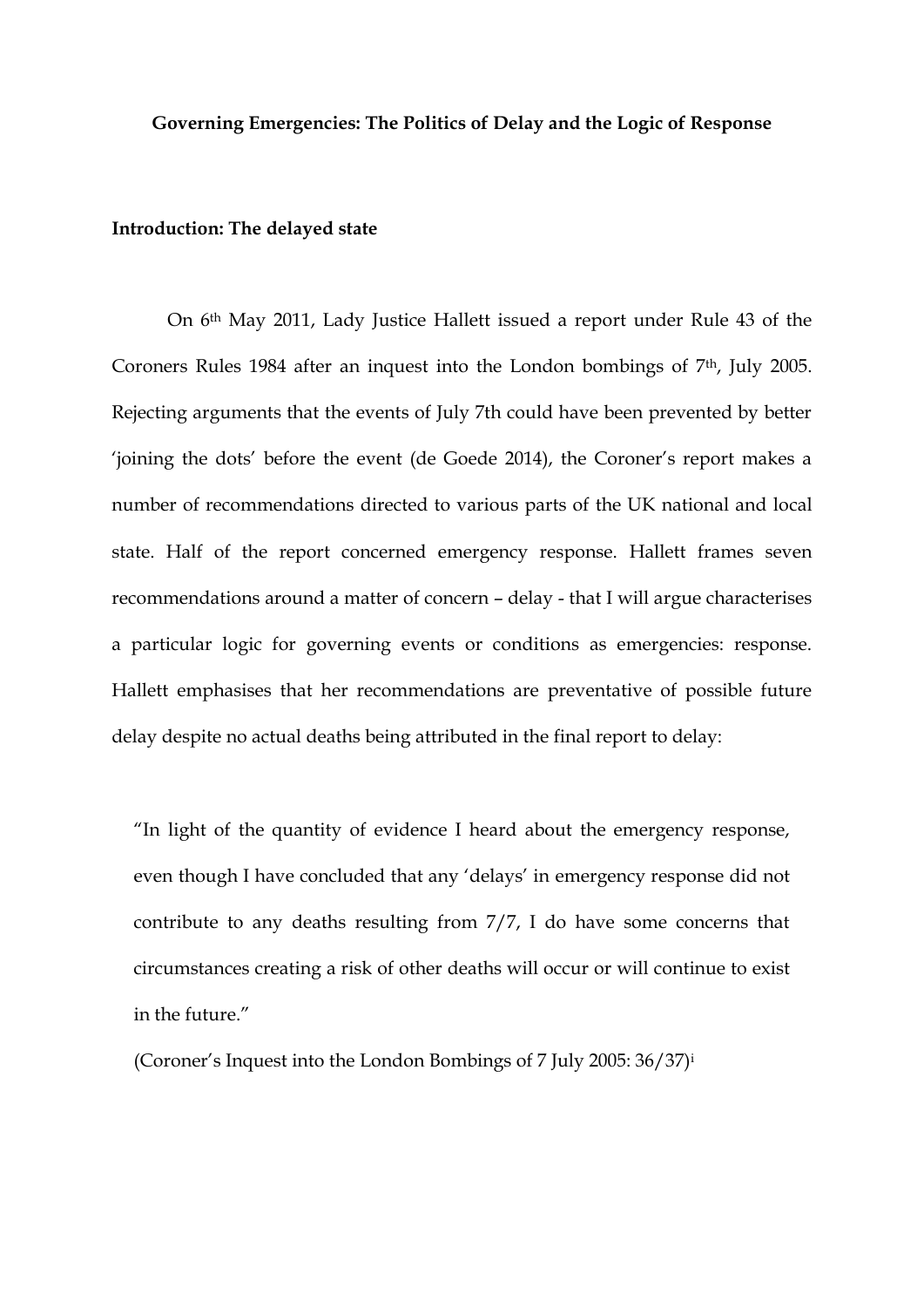### **Governing Emergencies: The Politics of Delay and the Logic of Response**

### **Introduction: The delayed state**

On 6th May 2011, Lady Justice Hallett issued a report under Rule 43 of the Coroners Rules 1984 after an inquest into the London bombings of 7<sup>th</sup>, July 2005. Rejecting arguments that the events of July 7th could have been prevented by better 'joining the dots' before the event (de Goede 2014), the Coroner's report makes a number of recommendations directed to various parts of the UK national and local state. Half of the report concerned emergency response. Hallett frames seven recommendations around a matter of concern – delay - that I will argue characterises a particular logic for governing events or conditions as emergencies: response. Hallett emphasises that her recommendations are preventative of possible future delay despite no actual deaths being attributed in the final report to delay:

"In light of the quantity of evidence I heard about the emergency response, even though I have concluded that any 'delays' in emergency response did not contribute to any deaths resulting from 7/7, I do have some concerns that circumstances creating a risk of other deaths will occur or will continue to exist in the future."

(Coroner's Inquest into the London Bombings of 7 July 2005: 36/37)<sup>i</sup>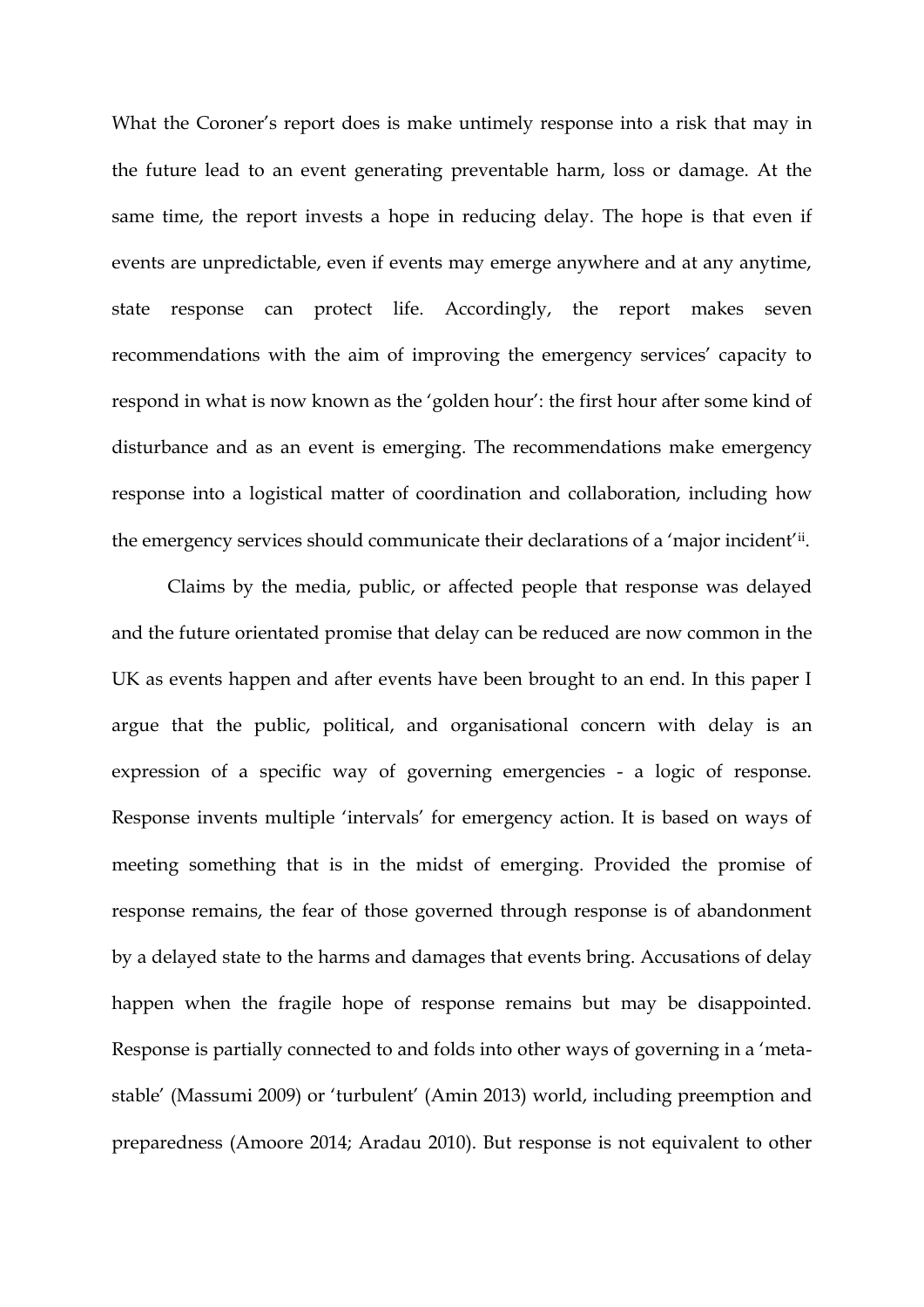What the Coroner's report does is make untimely response into a risk that may in the future lead to an event generating preventable harm, loss or damage. At the same time, the report invests a hope in reducing delay. The hope is that even if events are unpredictable, even if events may emerge anywhere and at any anytime, state response can protect life. Accordingly, the report makes seven recommendations with the aim of improving the emergency services' capacity to respond in what is now known as the 'golden hour': the first hour after some kind of disturbance and as an event is emerging. The recommendations make emergency response into a logistical matter of coordination and collaboration, including how the emergency services should communicate their declarations of a 'major incident'ii .

Claims by the media, public, or affected people that response was delayed and the future orientated promise that delay can be reduced are now common in the UK as events happen and after events have been brought to an end. In this paper I argue that the public, political, and organisational concern with delay is an expression of a specific way of governing emergencies - a logic of response. Response invents multiple 'intervals' for emergency action. It is based on ways of meeting something that is in the midst of emerging. Provided the promise of response remains, the fear of those governed through response is of abandonment by a delayed state to the harms and damages that events bring. Accusations of delay happen when the fragile hope of response remains but may be disappointed. Response is partially connected to and folds into other ways of governing in a 'metastable' (Massumi 2009) or 'turbulent' (Amin 2013) world, including preemption and preparedness (Amoore 2014; Aradau 2010). But response is not equivalent to other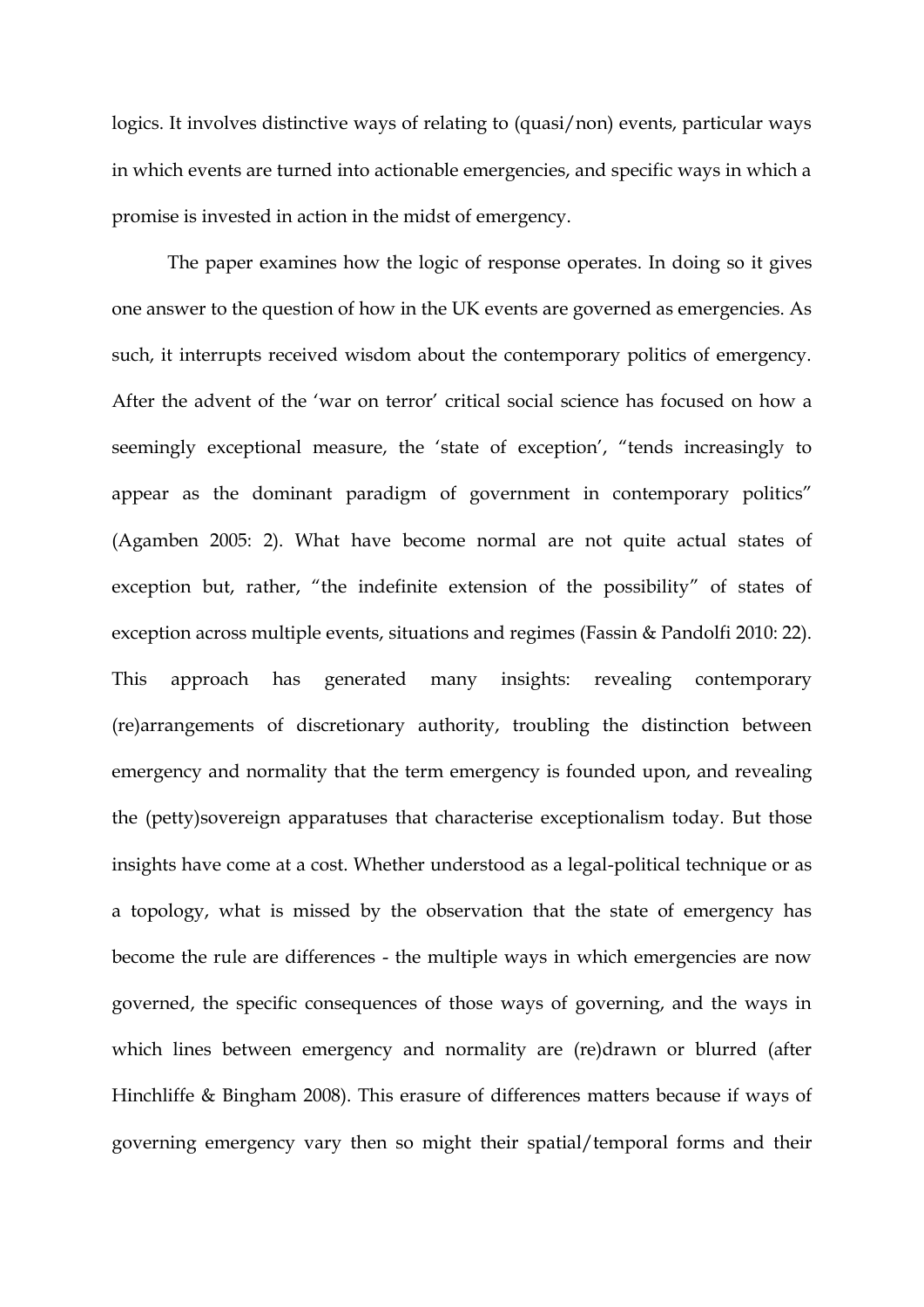logics. It involves distinctive ways of relating to (quasi/non) events, particular ways in which events are turned into actionable emergencies, and specific ways in which a promise is invested in action in the midst of emergency.

The paper examines how the logic of response operates. In doing so it gives one answer to the question of how in the UK events are governed as emergencies. As such, it interrupts received wisdom about the contemporary politics of emergency. After the advent of the 'war on terror' critical social science has focused on how a seemingly exceptional measure, the 'state of exception', "tends increasingly to appear as the dominant paradigm of government in contemporary politics" (Agamben 2005: 2). What have become normal are not quite actual states of exception but, rather, "the indefinite extension of the possibility" of states of exception across multiple events, situations and regimes (Fassin & Pandolfi 2010: 22). This approach has generated many insights: revealing contemporary (re)arrangements of discretionary authority, troubling the distinction between emergency and normality that the term emergency is founded upon, and revealing the (petty)sovereign apparatuses that characterise exceptionalism today. But those insights have come at a cost. Whether understood as a legal-political technique or as a topology, what is missed by the observation that the state of emergency has become the rule are differences - the multiple ways in which emergencies are now governed, the specific consequences of those ways of governing, and the ways in which lines between emergency and normality are (re)drawn or blurred (after Hinchliffe & Bingham 2008). This erasure of differences matters because if ways of governing emergency vary then so might their spatial/temporal forms and their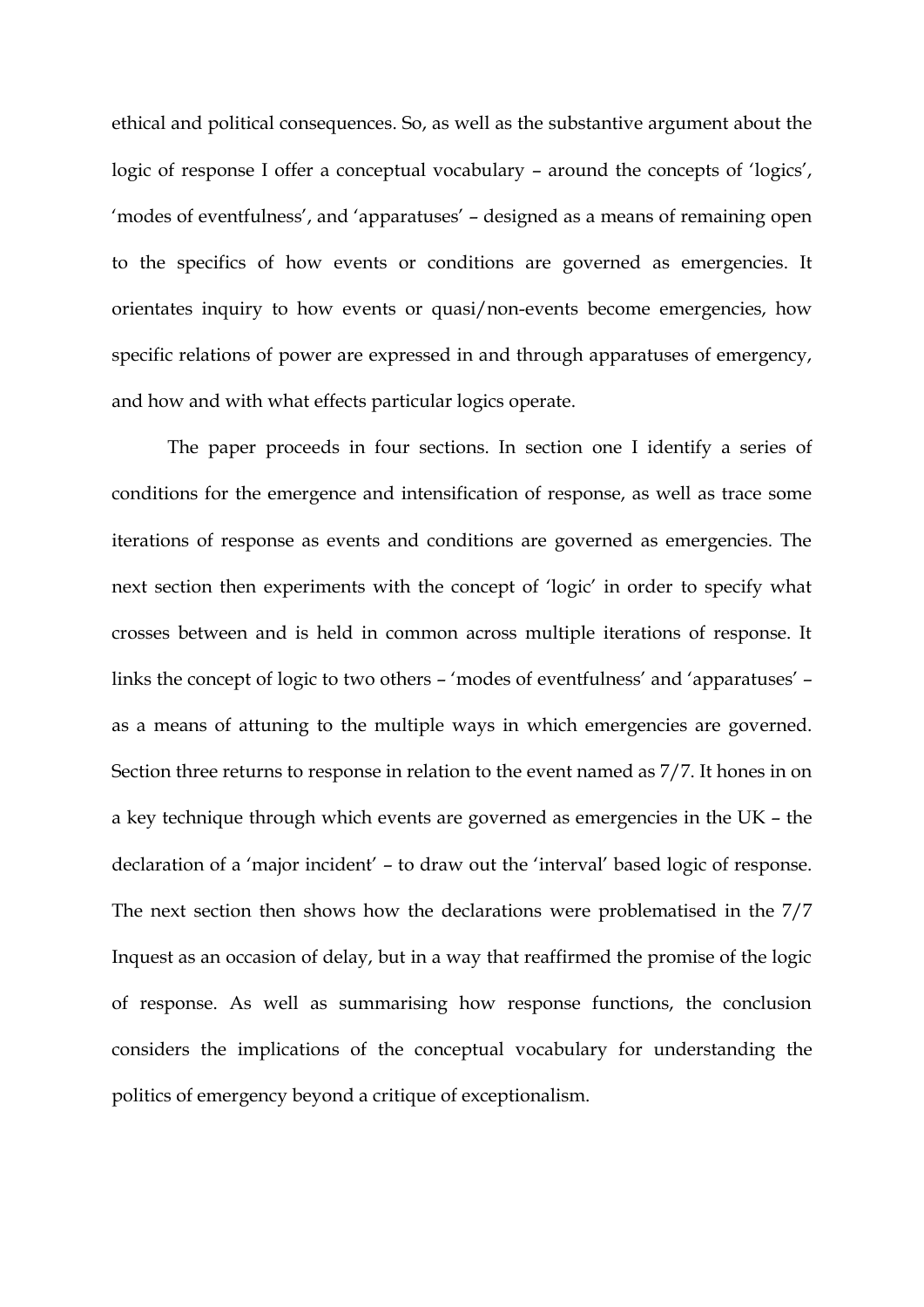ethical and political consequences. So, as well as the substantive argument about the logic of response I offer a conceptual vocabulary – around the concepts of 'logics', 'modes of eventfulness', and 'apparatuses' – designed as a means of remaining open to the specifics of how events or conditions are governed as emergencies. It orientates inquiry to how events or quasi/non-events become emergencies, how specific relations of power are expressed in and through apparatuses of emergency, and how and with what effects particular logics operate.

The paper proceeds in four sections. In section one I identify a series of conditions for the emergence and intensification of response, as well as trace some iterations of response as events and conditions are governed as emergencies. The next section then experiments with the concept of 'logic' in order to specify what crosses between and is held in common across multiple iterations of response. It links the concept of logic to two others – 'modes of eventfulness' and 'apparatuses' – as a means of attuning to the multiple ways in which emergencies are governed. Section three returns to response in relation to the event named as 7/7. It hones in on a key technique through which events are governed as emergencies in the UK – the declaration of a 'major incident' – to draw out the 'interval' based logic of response. The next section then shows how the declarations were problematised in the 7/7 Inquest as an occasion of delay, but in a way that reaffirmed the promise of the logic of response. As well as summarising how response functions, the conclusion considers the implications of the conceptual vocabulary for understanding the politics of emergency beyond a critique of exceptionalism.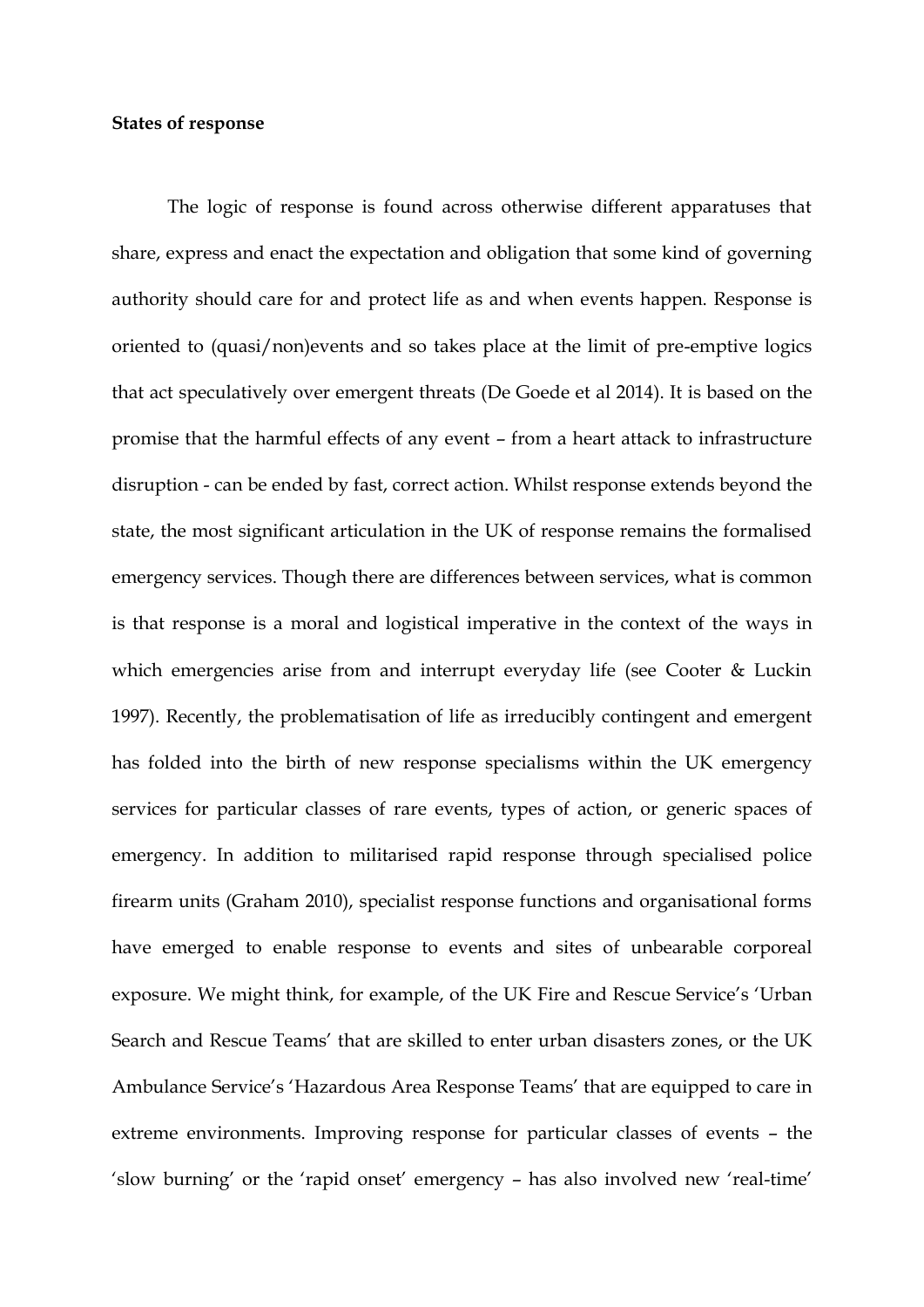### **States of response**

The logic of response is found across otherwise different apparatuses that share, express and enact the expectation and obligation that some kind of governing authority should care for and protect life as and when events happen. Response is oriented to (quasi/non)events and so takes place at the limit of pre-emptive logics that act speculatively over emergent threats (De Goede et al 2014). It is based on the promise that the harmful effects of any event – from a heart attack to infrastructure disruption - can be ended by fast, correct action. Whilst response extends beyond the state, the most significant articulation in the UK of response remains the formalised emergency services. Though there are differences between services, what is common is that response is a moral and logistical imperative in the context of the ways in which emergencies arise from and interrupt everyday life (see Cooter & Luckin 1997). Recently, the problematisation of life as irreducibly contingent and emergent has folded into the birth of new response specialisms within the UK emergency services for particular classes of rare events, types of action, or generic spaces of emergency. In addition to militarised rapid response through specialised police firearm units (Graham 2010), specialist response functions and organisational forms have emerged to enable response to events and sites of unbearable corporeal exposure. We might think, for example, of the UK Fire and Rescue Service's 'Urban Search and Rescue Teams' that are skilled to enter urban disasters zones, or the UK Ambulance Service's 'Hazardous Area Response Teams' that are equipped to care in extreme environments. Improving response for particular classes of events – the 'slow burning' or the 'rapid onset' emergency – has also involved new 'real-time'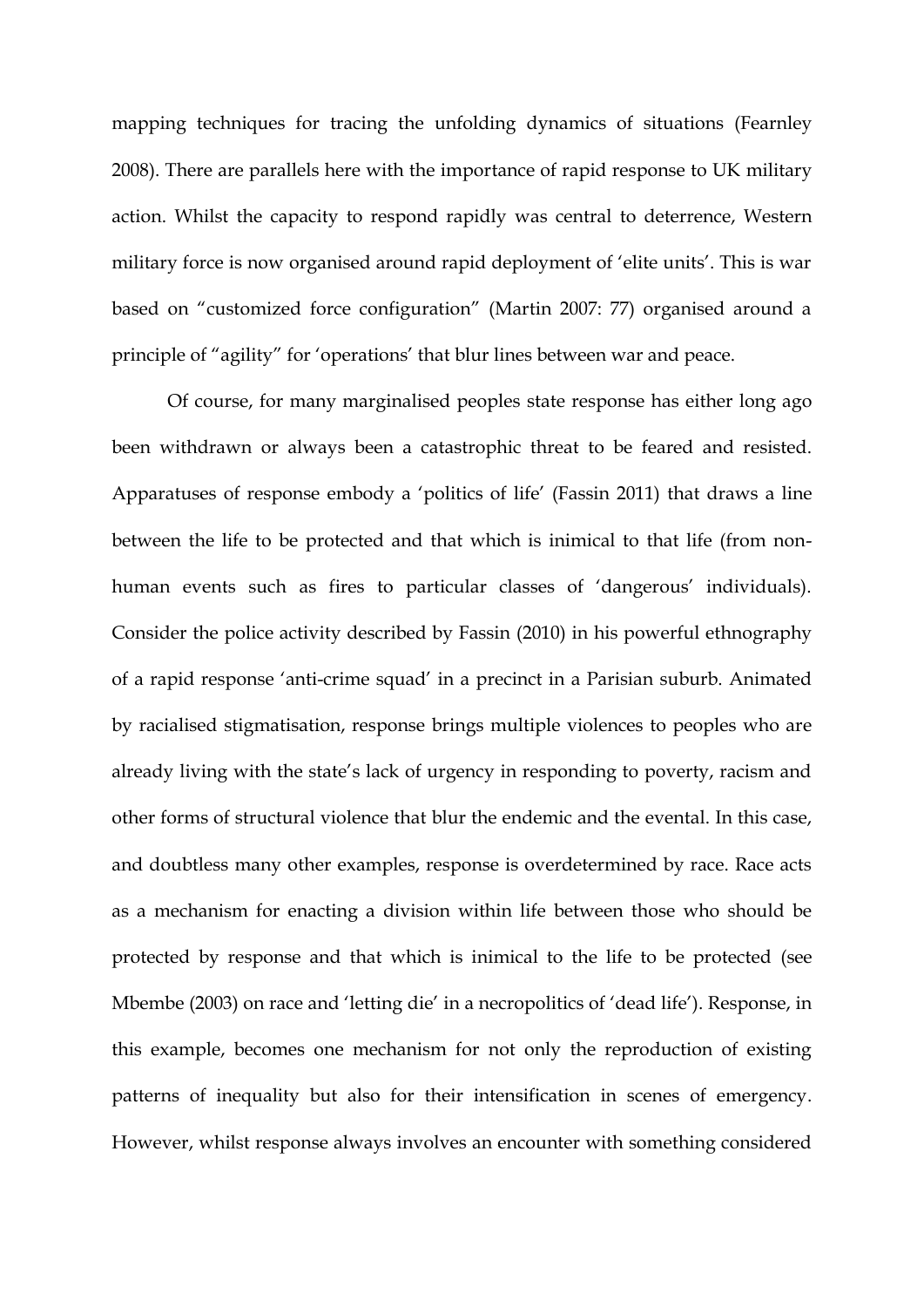mapping techniques for tracing the unfolding dynamics of situations (Fearnley 2008). There are parallels here with the importance of rapid response to UK military action. Whilst the capacity to respond rapidly was central to deterrence, Western military force is now organised around rapid deployment of 'elite units'. This is war based on "customized force configuration" (Martin 2007: 77) organised around a principle of "agility" for 'operations' that blur lines between war and peace.

Of course, for many marginalised peoples state response has either long ago been withdrawn or always been a catastrophic threat to be feared and resisted. Apparatuses of response embody a 'politics of life' (Fassin 2011) that draws a line between the life to be protected and that which is inimical to that life (from nonhuman events such as fires to particular classes of 'dangerous' individuals). Consider the police activity described by Fassin (2010) in his powerful ethnography of a rapid response 'anti-crime squad' in a precinct in a Parisian suburb. Animated by racialised stigmatisation, response brings multiple violences to peoples who are already living with the state's lack of urgency in responding to poverty, racism and other forms of structural violence that blur the endemic and the evental. In this case, and doubtless many other examples, response is overdetermined by race. Race acts as a mechanism for enacting a division within life between those who should be protected by response and that which is inimical to the life to be protected (see Mbembe (2003) on race and 'letting die' in a necropolitics of 'dead life'). Response, in this example, becomes one mechanism for not only the reproduction of existing patterns of inequality but also for their intensification in scenes of emergency. However, whilst response always involves an encounter with something considered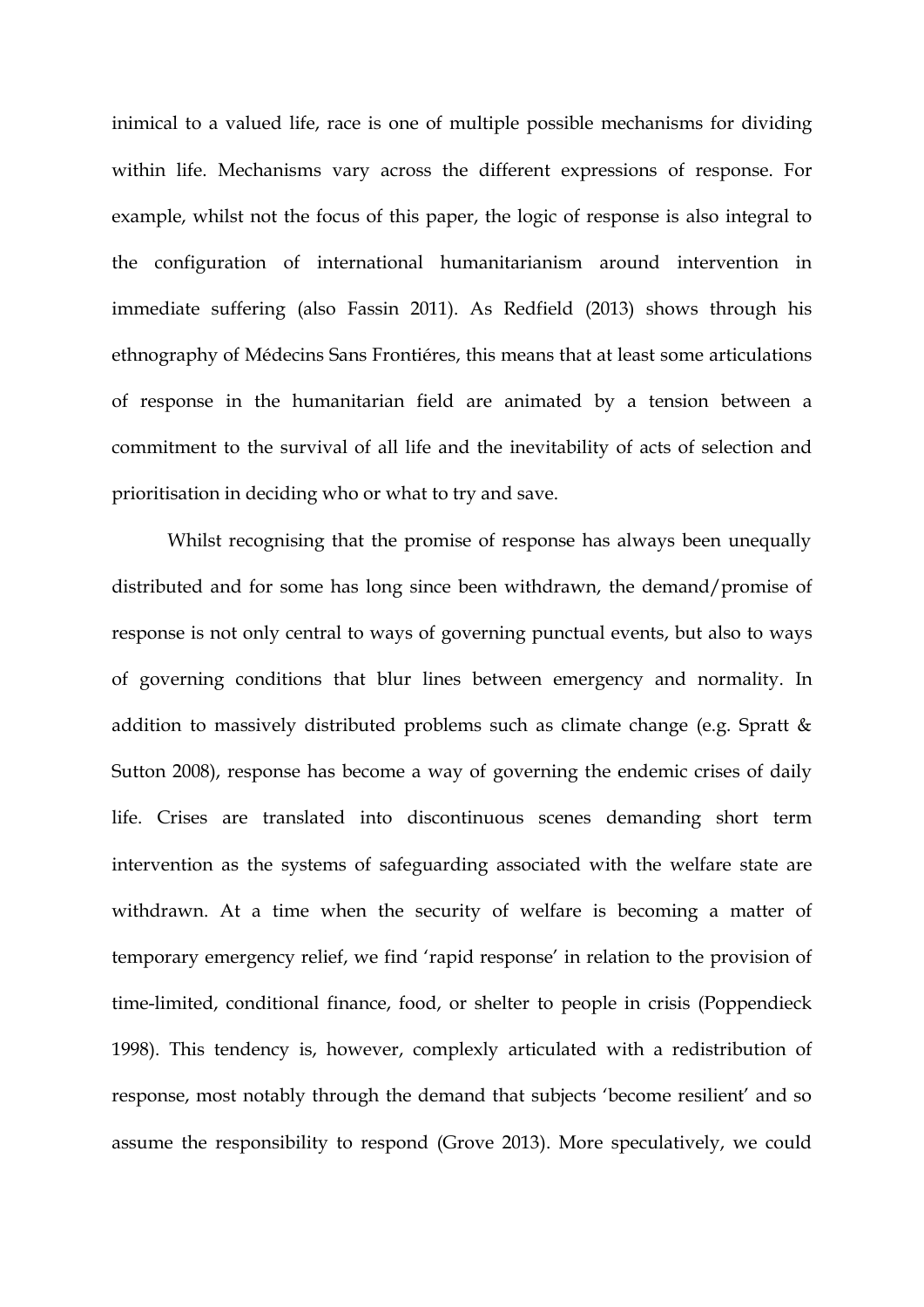inimical to a valued life, race is one of multiple possible mechanisms for dividing within life. Mechanisms vary across the different expressions of response. For example, whilst not the focus of this paper, the logic of response is also integral to the configuration of international humanitarianism around intervention in immediate suffering (also Fassin 2011). As Redfield (2013) shows through his ethnography of Médecins Sans Frontiéres, this means that at least some articulations of response in the humanitarian field are animated by a tension between a commitment to the survival of all life and the inevitability of acts of selection and prioritisation in deciding who or what to try and save.

Whilst recognising that the promise of response has always been unequally distributed and for some has long since been withdrawn, the demand/promise of response is not only central to ways of governing punctual events, but also to ways of governing conditions that blur lines between emergency and normality. In addition to massively distributed problems such as climate change (e.g. Spratt & Sutton 2008), response has become a way of governing the endemic crises of daily life. Crises are translated into discontinuous scenes demanding short term intervention as the systems of safeguarding associated with the welfare state are withdrawn. At a time when the security of welfare is becoming a matter of temporary emergency relief, we find 'rapid response' in relation to the provision of time-limited, conditional finance, food, or shelter to people in crisis (Poppendieck 1998). This tendency is, however, complexly articulated with a redistribution of response, most notably through the demand that subjects 'become resilient' and so assume the responsibility to respond (Grove 2013). More speculatively, we could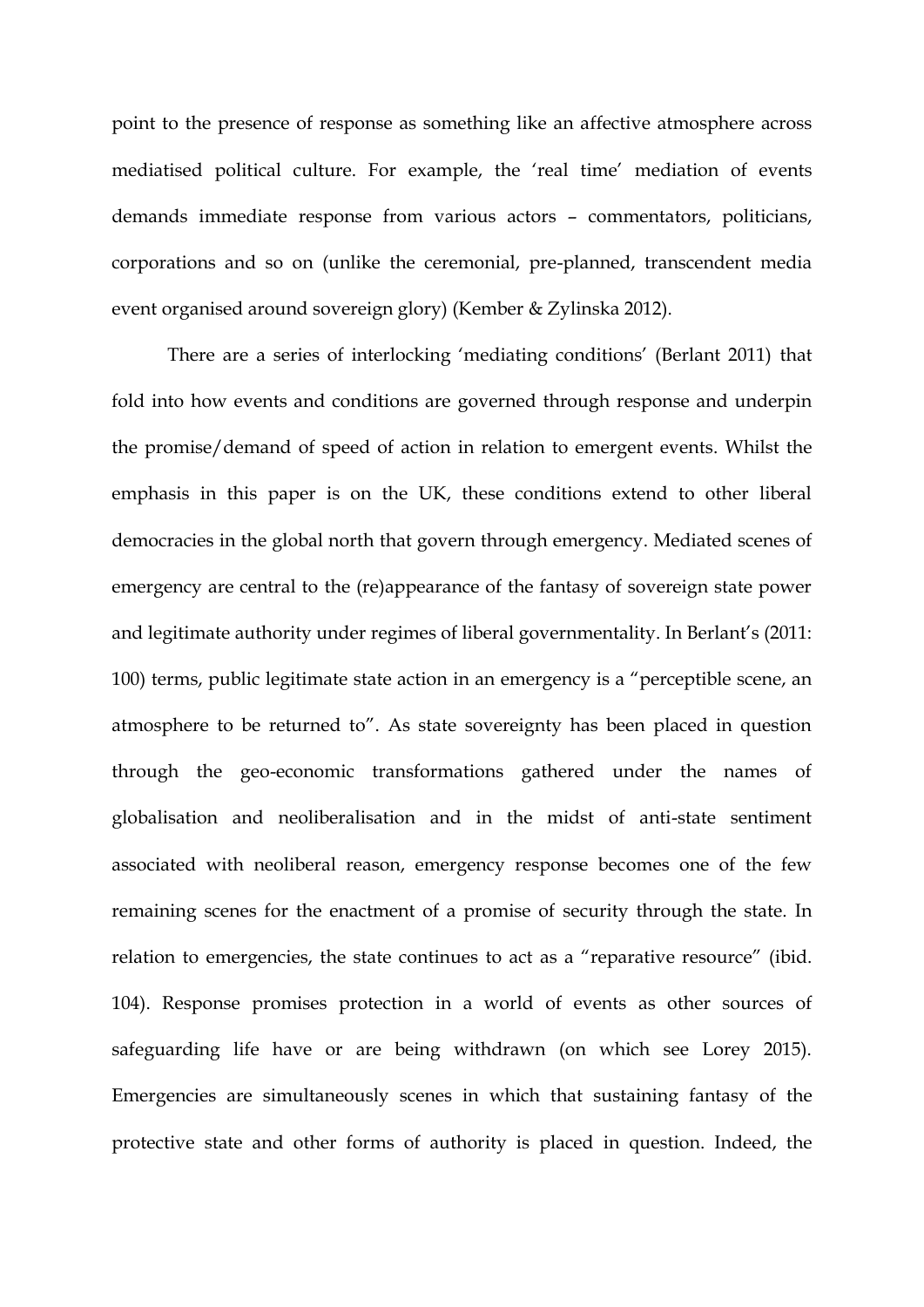point to the presence of response as something like an affective atmosphere across mediatised political culture. For example, the 'real time' mediation of events demands immediate response from various actors – commentators, politicians, corporations and so on (unlike the ceremonial, pre-planned, transcendent media event organised around sovereign glory) (Kember & Zylinska 2012).

There are a series of interlocking 'mediating conditions' (Berlant 2011) that fold into how events and conditions are governed through response and underpin the promise/demand of speed of action in relation to emergent events. Whilst the emphasis in this paper is on the UK, these conditions extend to other liberal democracies in the global north that govern through emergency. Mediated scenes of emergency are central to the (re)appearance of the fantasy of sovereign state power and legitimate authority under regimes of liberal governmentality. In Berlant's (2011: 100) terms, public legitimate state action in an emergency is a "perceptible scene, an atmosphere to be returned to". As state sovereignty has been placed in question through the geo-economic transformations gathered under the names of globalisation and neoliberalisation and in the midst of anti-state sentiment associated with neoliberal reason, emergency response becomes one of the few remaining scenes for the enactment of a promise of security through the state. In relation to emergencies, the state continues to act as a "reparative resource" (ibid. 104). Response promises protection in a world of events as other sources of safeguarding life have or are being withdrawn (on which see Lorey 2015). Emergencies are simultaneously scenes in which that sustaining fantasy of the protective state and other forms of authority is placed in question. Indeed, the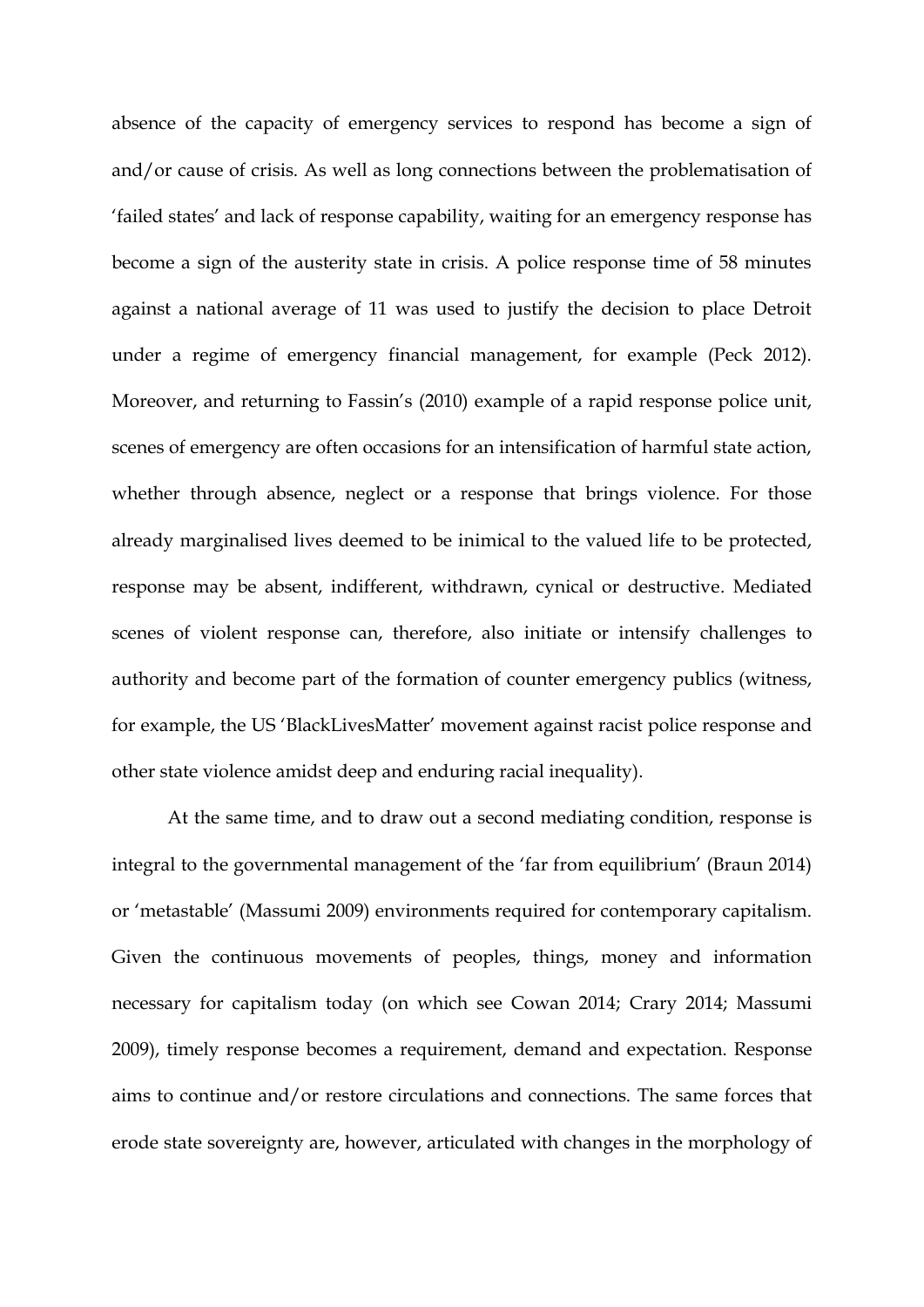absence of the capacity of emergency services to respond has become a sign of and/or cause of crisis. As well as long connections between the problematisation of 'failed states' and lack of response capability, waiting for an emergency response has become a sign of the austerity state in crisis. A police response time of 58 minutes against a national average of 11 was used to justify the decision to place Detroit under a regime of emergency financial management, for example (Peck 2012). Moreover, and returning to Fassin's (2010) example of a rapid response police unit, scenes of emergency are often occasions for an intensification of harmful state action, whether through absence, neglect or a response that brings violence. For those already marginalised lives deemed to be inimical to the valued life to be protected, response may be absent, indifferent, withdrawn, cynical or destructive. Mediated scenes of violent response can, therefore, also initiate or intensify challenges to authority and become part of the formation of counter emergency publics (witness, for example, the US 'BlackLivesMatter' movement against racist police response and other state violence amidst deep and enduring racial inequality).

At the same time, and to draw out a second mediating condition, response is integral to the governmental management of the 'far from equilibrium' (Braun 2014) or 'metastable' (Massumi 2009) environments required for contemporary capitalism. Given the continuous movements of peoples, things, money and information necessary for capitalism today (on which see Cowan 2014; Crary 2014; Massumi 2009), timely response becomes a requirement, demand and expectation. Response aims to continue and/or restore circulations and connections. The same forces that erode state sovereignty are, however, articulated with changes in the morphology of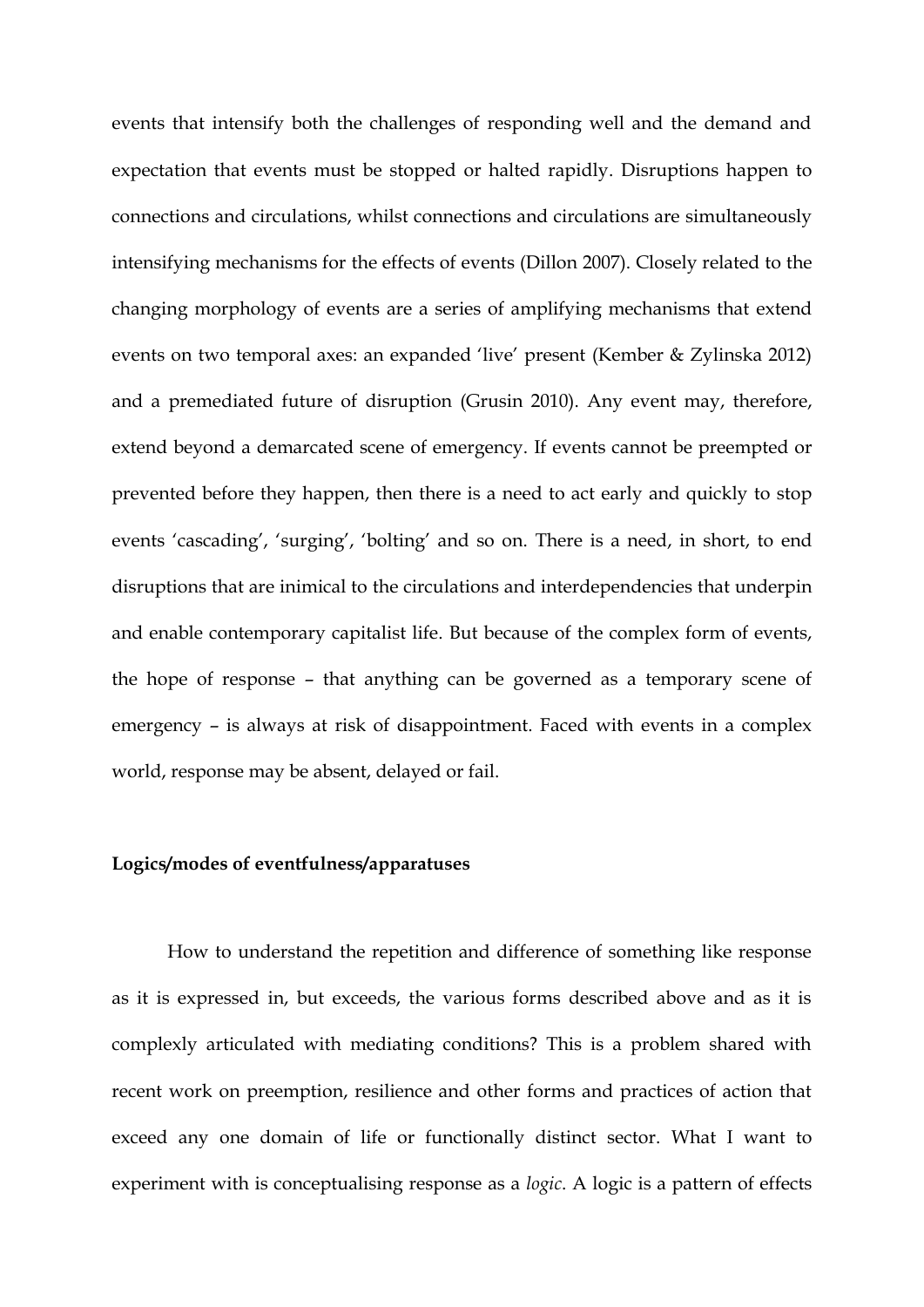events that intensify both the challenges of responding well and the demand and expectation that events must be stopped or halted rapidly. Disruptions happen to connections and circulations, whilst connections and circulations are simultaneously intensifying mechanisms for the effects of events (Dillon 2007). Closely related to the changing morphology of events are a series of amplifying mechanisms that extend events on two temporal axes: an expanded 'live' present (Kember & Zylinska 2012) and a premediated future of disruption (Grusin 2010). Any event may, therefore, extend beyond a demarcated scene of emergency. If events cannot be preempted or prevented before they happen, then there is a need to act early and quickly to stop events 'cascading', 'surging', 'bolting' and so on. There is a need, in short, to end disruptions that are inimical to the circulations and interdependencies that underpin and enable contemporary capitalist life. But because of the complex form of events, the hope of response – that anything can be governed as a temporary scene of emergency – is always at risk of disappointment. Faced with events in a complex world, response may be absent, delayed or fail.

## **Logics/modes of eventfulness/apparatuses**

How to understand the repetition and difference of something like response as it is expressed in, but exceeds, the various forms described above and as it is complexly articulated with mediating conditions? This is a problem shared with recent work on preemption, resilience and other forms and practices of action that exceed any one domain of life or functionally distinct sector. What I want to experiment with is conceptualising response as a *logic*. A logic is a pattern of effects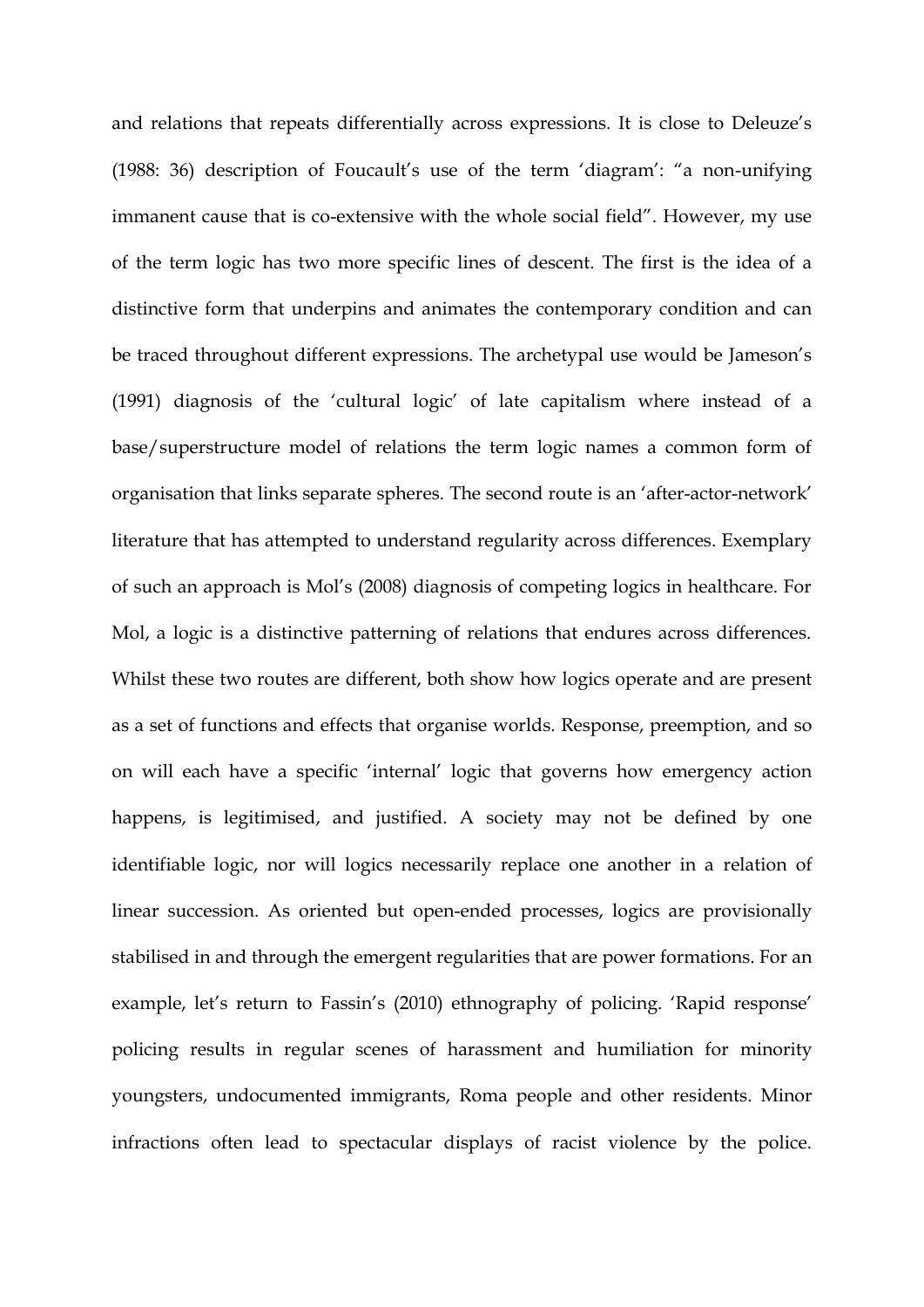and relations that repeats differentially across expressions. It is close to Deleuze's (1988: 36) description of Foucault's use of the term 'diagram': "a non-unifying immanent cause that is co-extensive with the whole social field". However, my use of the term logic has two more specific lines of descent. The first is the idea of a distinctive form that underpins and animates the contemporary condition and can be traced throughout different expressions. The archetypal use would be Jameson's (1991) diagnosis of the 'cultural logic' of late capitalism where instead of a base/superstructure model of relations the term logic names a common form of organisation that links separate spheres. The second route is an 'after-actor-network' literature that has attempted to understand regularity across differences. Exemplary of such an approach is Mol's (2008) diagnosis of competing logics in healthcare. For Mol, a logic is a distinctive patterning of relations that endures across differences. Whilst these two routes are different, both show how logics operate and are present as a set of functions and effects that organise worlds. Response, preemption, and so on will each have a specific 'internal' logic that governs how emergency action happens, is legitimised, and justified. A society may not be defined by one identifiable logic, nor will logics necessarily replace one another in a relation of linear succession. As oriented but open-ended processes, logics are provisionally stabilised in and through the emergent regularities that are power formations. For an example, let's return to Fassin's (2010) ethnography of policing. 'Rapid response' policing results in regular scenes of harassment and humiliation for minority youngsters, undocumented immigrants, Roma people and other residents. Minor infractions often lead to spectacular displays of racist violence by the police.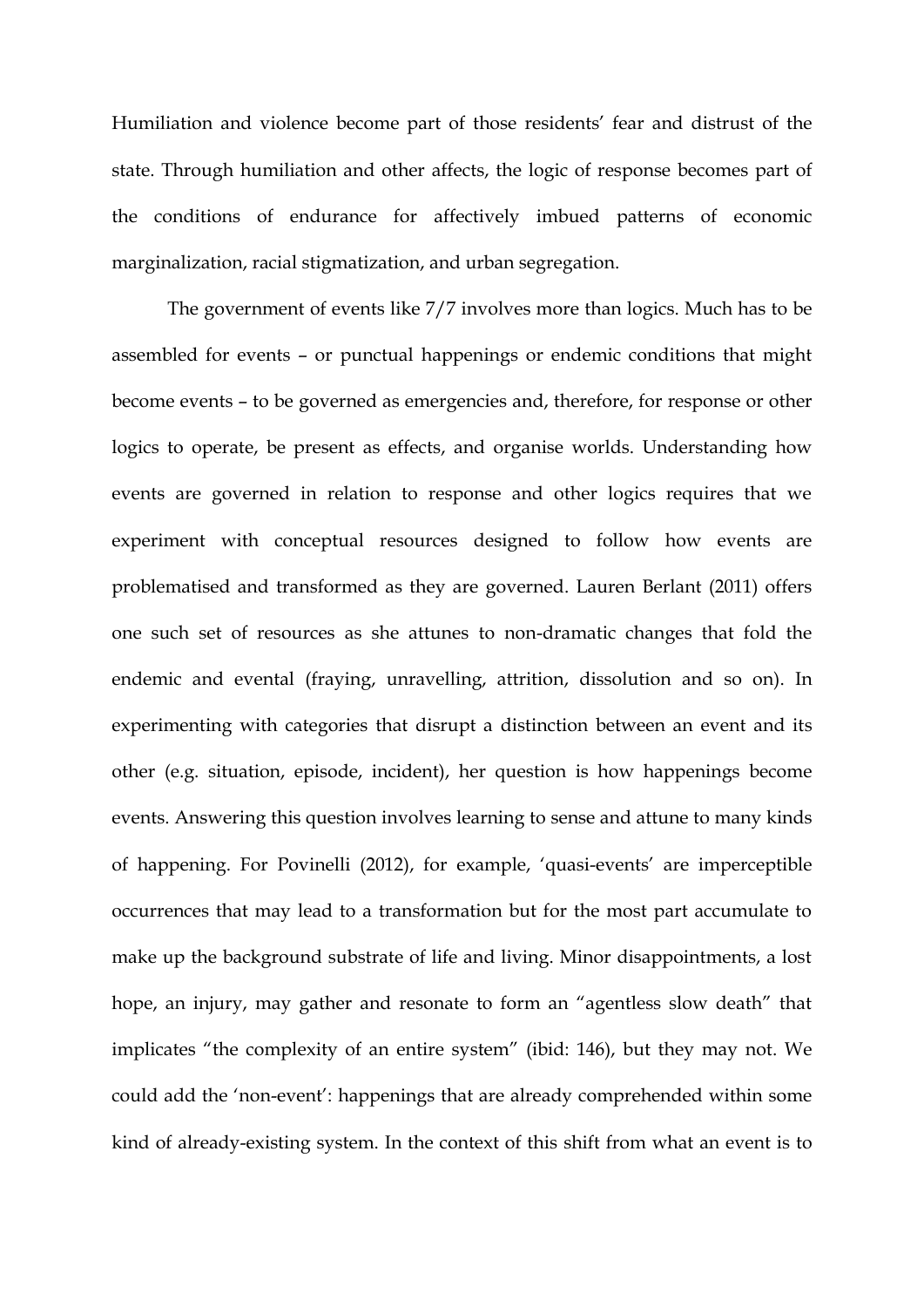Humiliation and violence become part of those residents' fear and distrust of the state. Through humiliation and other affects, the logic of response becomes part of the conditions of endurance for affectively imbued patterns of economic marginalization, racial stigmatization, and urban segregation.

The government of events like 7/7 involves more than logics. Much has to be assembled for events – or punctual happenings or endemic conditions that might become events – to be governed as emergencies and, therefore, for response or other logics to operate, be present as effects, and organise worlds. Understanding how events are governed in relation to response and other logics requires that we experiment with conceptual resources designed to follow how events are problematised and transformed as they are governed. Lauren Berlant (2011) offers one such set of resources as she attunes to non-dramatic changes that fold the endemic and evental (fraying, unravelling, attrition, dissolution and so on). In experimenting with categories that disrupt a distinction between an event and its other (e.g. situation, episode, incident), her question is how happenings become events. Answering this question involves learning to sense and attune to many kinds of happening. For Povinelli (2012), for example, 'quasi-events' are imperceptible occurrences that may lead to a transformation but for the most part accumulate to make up the background substrate of life and living. Minor disappointments, a lost hope, an injury, may gather and resonate to form an "agentless slow death" that implicates "the complexity of an entire system" (ibid: 146), but they may not. We could add the 'non-event': happenings that are already comprehended within some kind of already-existing system. In the context of this shift from what an event is to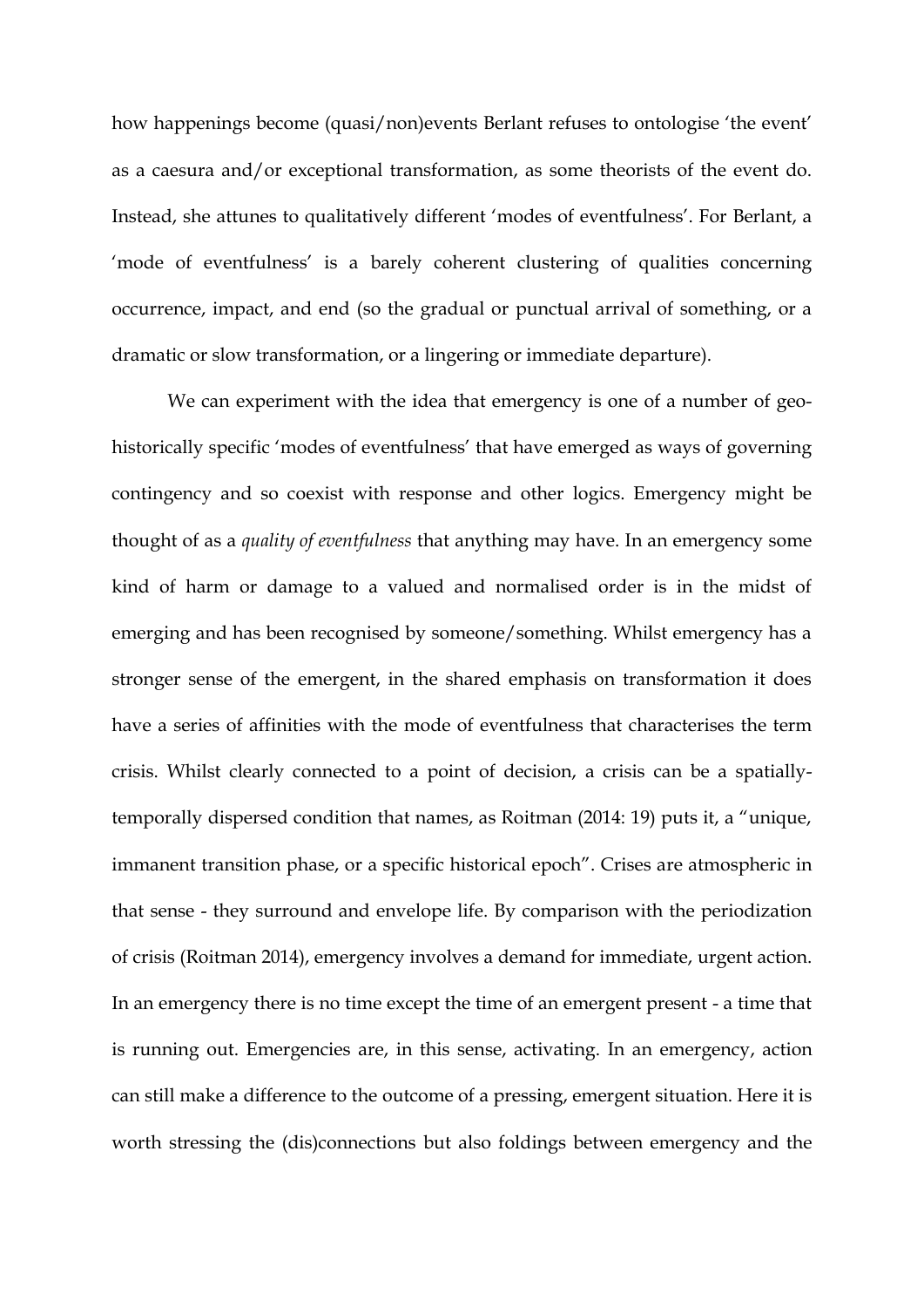how happenings become (quasi/non)events Berlant refuses to ontologise 'the event' as a caesura and/or exceptional transformation, as some theorists of the event do. Instead, she attunes to qualitatively different 'modes of eventfulness'. For Berlant, a 'mode of eventfulness' is a barely coherent clustering of qualities concerning occurrence, impact, and end (so the gradual or punctual arrival of something, or a dramatic or slow transformation, or a lingering or immediate departure).

We can experiment with the idea that emergency is one of a number of geohistorically specific 'modes of eventfulness' that have emerged as ways of governing contingency and so coexist with response and other logics. Emergency might be thought of as a *quality of eventfulness* that anything may have. In an emergency some kind of harm or damage to a valued and normalised order is in the midst of emerging and has been recognised by someone/something. Whilst emergency has a stronger sense of the emergent, in the shared emphasis on transformation it does have a series of affinities with the mode of eventfulness that characterises the term crisis. Whilst clearly connected to a point of decision, a crisis can be a spatiallytemporally dispersed condition that names, as Roitman (2014: 19) puts it, a "unique, immanent transition phase, or a specific historical epoch". Crises are atmospheric in that sense - they surround and envelope life. By comparison with the periodization of crisis (Roitman 2014), emergency involves a demand for immediate, urgent action. In an emergency there is no time except the time of an emergent present - a time that is running out. Emergencies are, in this sense, activating. In an emergency, action can still make a difference to the outcome of a pressing, emergent situation. Here it is worth stressing the (dis)connections but also foldings between emergency and the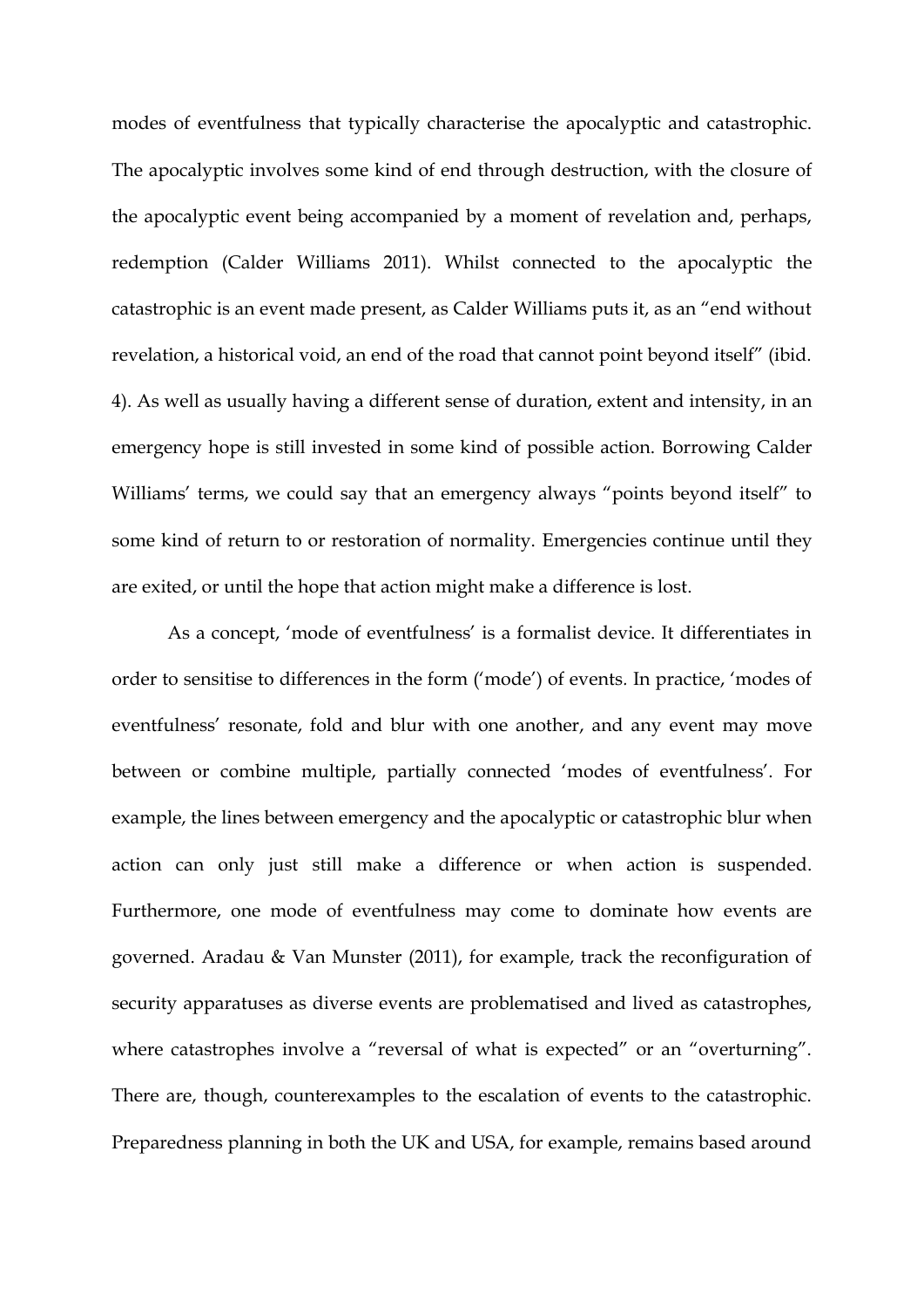modes of eventfulness that typically characterise the apocalyptic and catastrophic. The apocalyptic involves some kind of end through destruction, with the closure of the apocalyptic event being accompanied by a moment of revelation and, perhaps, redemption (Calder Williams 2011). Whilst connected to the apocalyptic the catastrophic is an event made present, as Calder Williams puts it, as an "end without revelation, a historical void, an end of the road that cannot point beyond itself" (ibid. 4). As well as usually having a different sense of duration, extent and intensity, in an emergency hope is still invested in some kind of possible action. Borrowing Calder Williams' terms, we could say that an emergency always "points beyond itself" to some kind of return to or restoration of normality. Emergencies continue until they are exited, or until the hope that action might make a difference is lost.

As a concept, 'mode of eventfulness' is a formalist device. It differentiates in order to sensitise to differences in the form ('mode') of events*.* In practice, 'modes of eventfulness' resonate, fold and blur with one another, and any event may move between or combine multiple, partially connected 'modes of eventfulness'. For example, the lines between emergency and the apocalyptic or catastrophic blur when action can only just still make a difference or when action is suspended. Furthermore, one mode of eventfulness may come to dominate how events are governed. Aradau & Van Munster (2011), for example, track the reconfiguration of security apparatuses as diverse events are problematised and lived as catastrophes, where catastrophes involve a "reversal of what is expected" or an "overturning". There are, though, counterexamples to the escalation of events to the catastrophic. Preparedness planning in both the UK and USA, for example, remains based around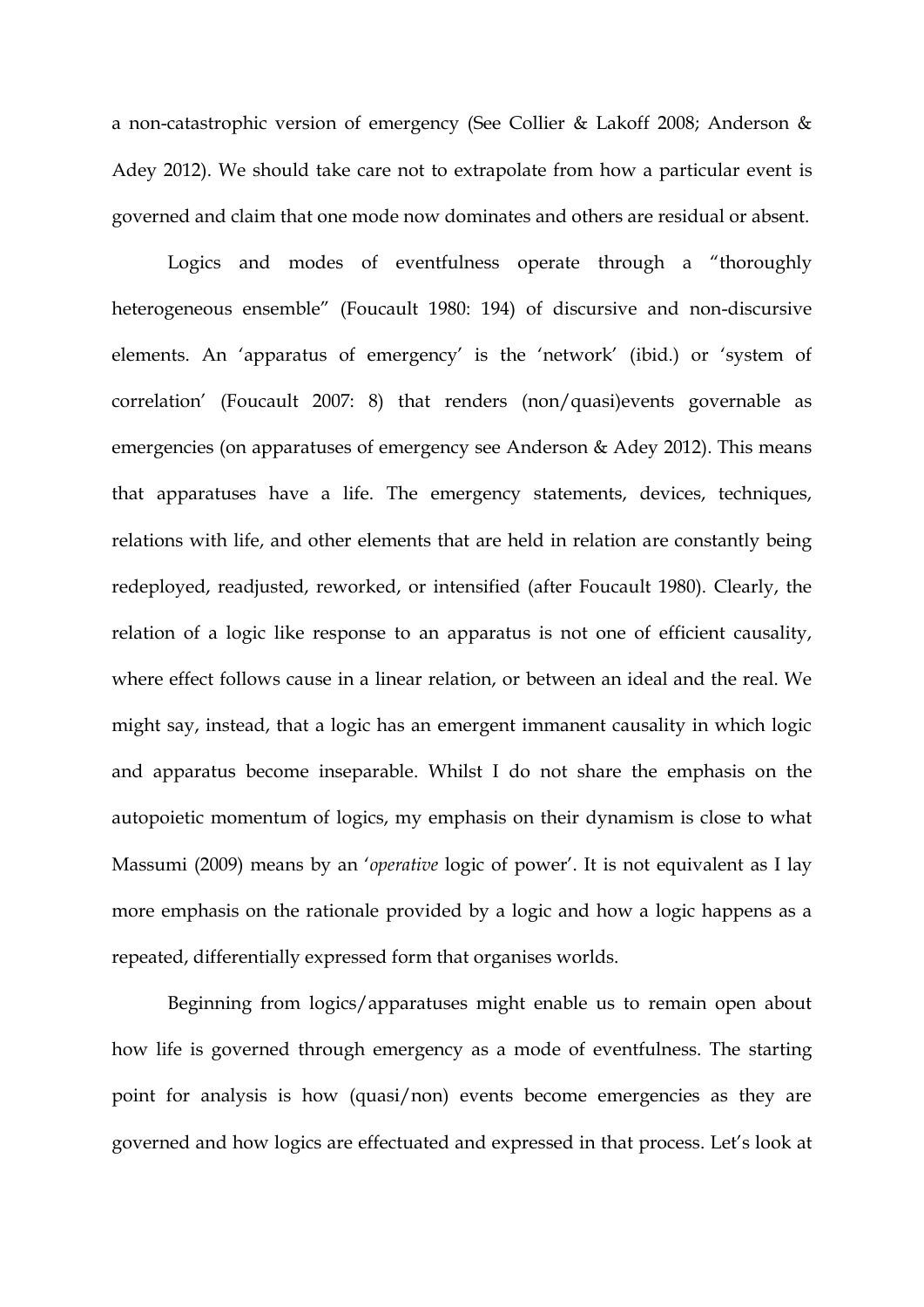a non-catastrophic version of emergency (See Collier & Lakoff 2008; Anderson & Adey 2012). We should take care not to extrapolate from how a particular event is governed and claim that one mode now dominates and others are residual or absent.

Logics and modes of eventfulness operate through a "thoroughly heterogeneous ensemble" (Foucault 1980: 194) of discursive and non-discursive elements. An 'apparatus of emergency' is the 'network' (ibid.) or 'system of correlation' (Foucault 2007: 8) that renders (non/quasi)events governable as emergencies (on apparatuses of emergency see Anderson & Adey 2012). This means that apparatuses have a life. The emergency statements, devices, techniques, relations with life, and other elements that are held in relation are constantly being redeployed, readjusted, reworked, or intensified (after Foucault 1980). Clearly, the relation of a logic like response to an apparatus is not one of efficient causality, where effect follows cause in a linear relation, or between an ideal and the real. We might say, instead, that a logic has an emergent immanent causality in which logic and apparatus become inseparable. Whilst I do not share the emphasis on the autopoietic momentum of logics, my emphasis on their dynamism is close to what Massumi (2009) means by an '*operative* logic of power'. It is not equivalent as I lay more emphasis on the rationale provided by a logic and how a logic happens as a repeated, differentially expressed form that organises worlds.

Beginning from logics/apparatuses might enable us to remain open about how life is governed through emergency as a mode of eventfulness. The starting point for analysis is how (quasi/non) events become emergencies as they are governed and how logics are effectuated and expressed in that process. Let's look at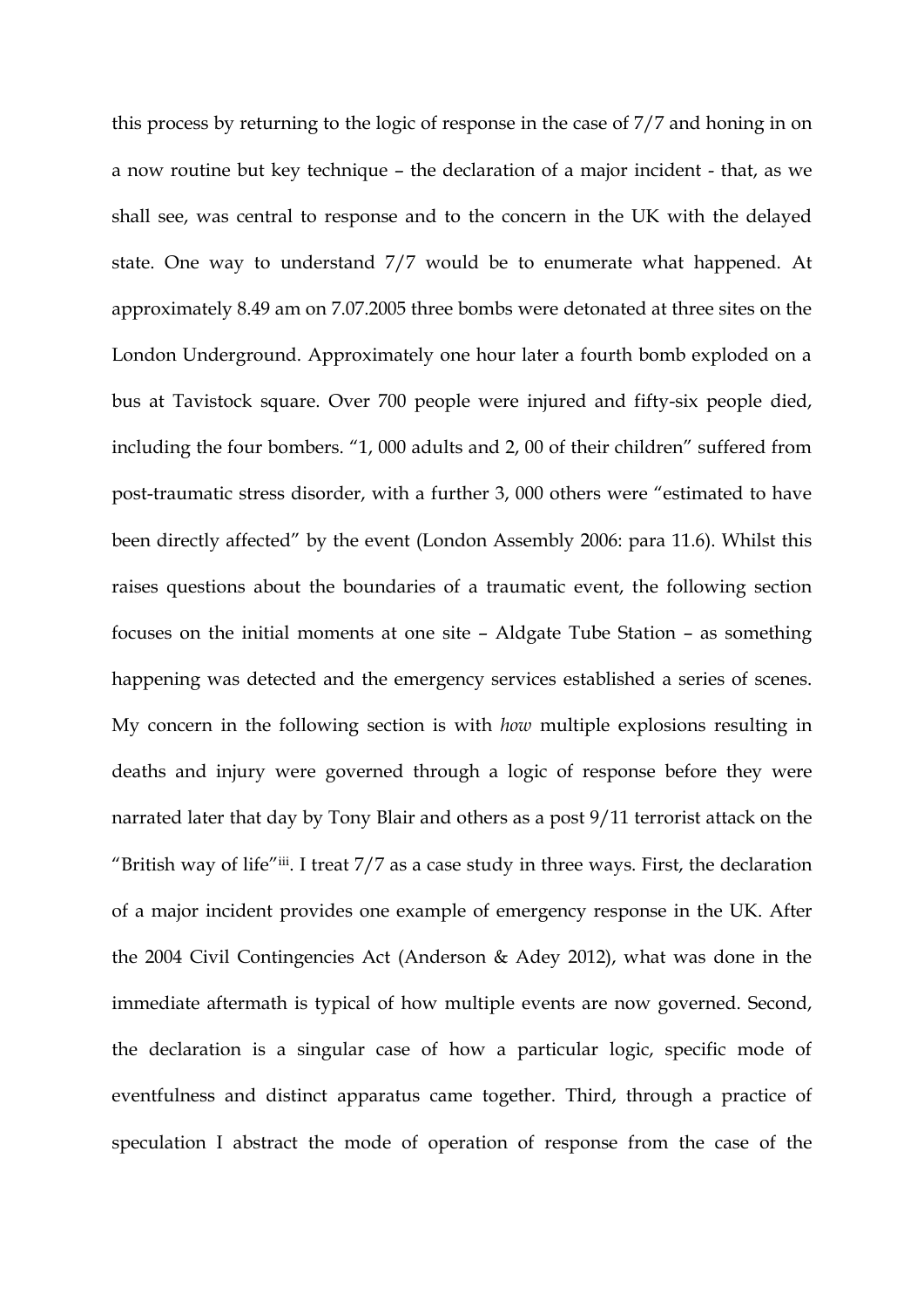this process by returning to the logic of response in the case of 7/7 and honing in on a now routine but key technique – the declaration of a major incident - that, as we shall see, was central to response and to the concern in the UK with the delayed state. One way to understand 7/7 would be to enumerate what happened. At approximately 8.49 am on 7.07.2005 three bombs were detonated at three sites on the London Underground. Approximately one hour later a fourth bomb exploded on a bus at Tavistock square. Over 700 people were injured and fifty-six people died, including the four bombers. "1, 000 adults and 2, 00 of their children" suffered from post-traumatic stress disorder, with a further 3, 000 others were "estimated to have been directly affected" by the event (London Assembly 2006: para 11.6). Whilst this raises questions about the boundaries of a traumatic event, the following section focuses on the initial moments at one site – Aldgate Tube Station – as something happening was detected and the emergency services established a series of scenes. My concern in the following section is with *how* multiple explosions resulting in deaths and injury were governed through a logic of response before they were narrated later that day by Tony Blair and others as a post 9/11 terrorist attack on the "British way of life"iii. I treat  $7/7$  as a case study in three ways. First, the declaration of a major incident provides one example of emergency response in the UK. After the 2004 Civil Contingencies Act (Anderson & Adey 2012), what was done in the immediate aftermath is typical of how multiple events are now governed. Second, the declaration is a singular case of how a particular logic, specific mode of eventfulness and distinct apparatus came together. Third, through a practice of speculation I abstract the mode of operation of response from the case of the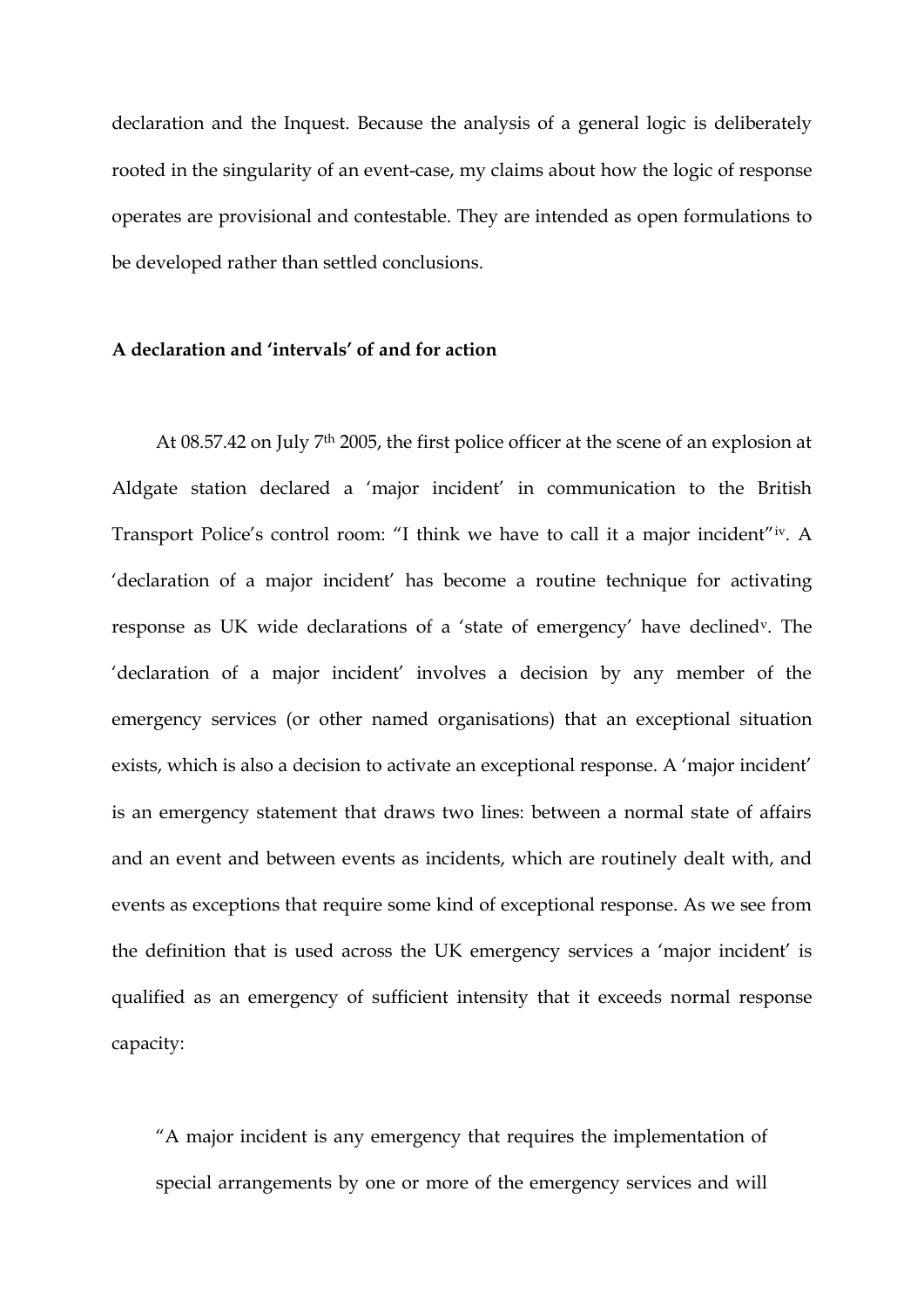declaration and the Inquest. Because the analysis of a general logic is deliberately rooted in the singularity of an event-case, my claims about how the logic of response operates are provisional and contestable. They are intended as open formulations to be developed rather than settled conclusions.

### **A declaration and 'intervals' of and for action**

At 08.57.42 on July 7th 2005, the first police officer at the scene of an explosion at Aldgate station declared a 'major incident' in communication to the British Transport Police's control room: "I think we have to call it a major incident"iv. A 'declaration of a major incident' has become a routine technique for activating response as UK wide declarations of a 'state of emergency' have declinedv. The 'declaration of a major incident' involves a decision by any member of the emergency services (or other named organisations) that an exceptional situation exists, which is also a decision to activate an exceptional response. A 'major incident' is an emergency statement that draws two lines: between a normal state of affairs and an event and between events as incidents, which are routinely dealt with, and events as exceptions that require some kind of exceptional response. As we see from the definition that is used across the UK emergency services a 'major incident' is qualified as an emergency of sufficient intensity that it exceeds normal response capacity:

"A major incident is any emergency that requires the implementation of special arrangements by one or more of the emergency services and will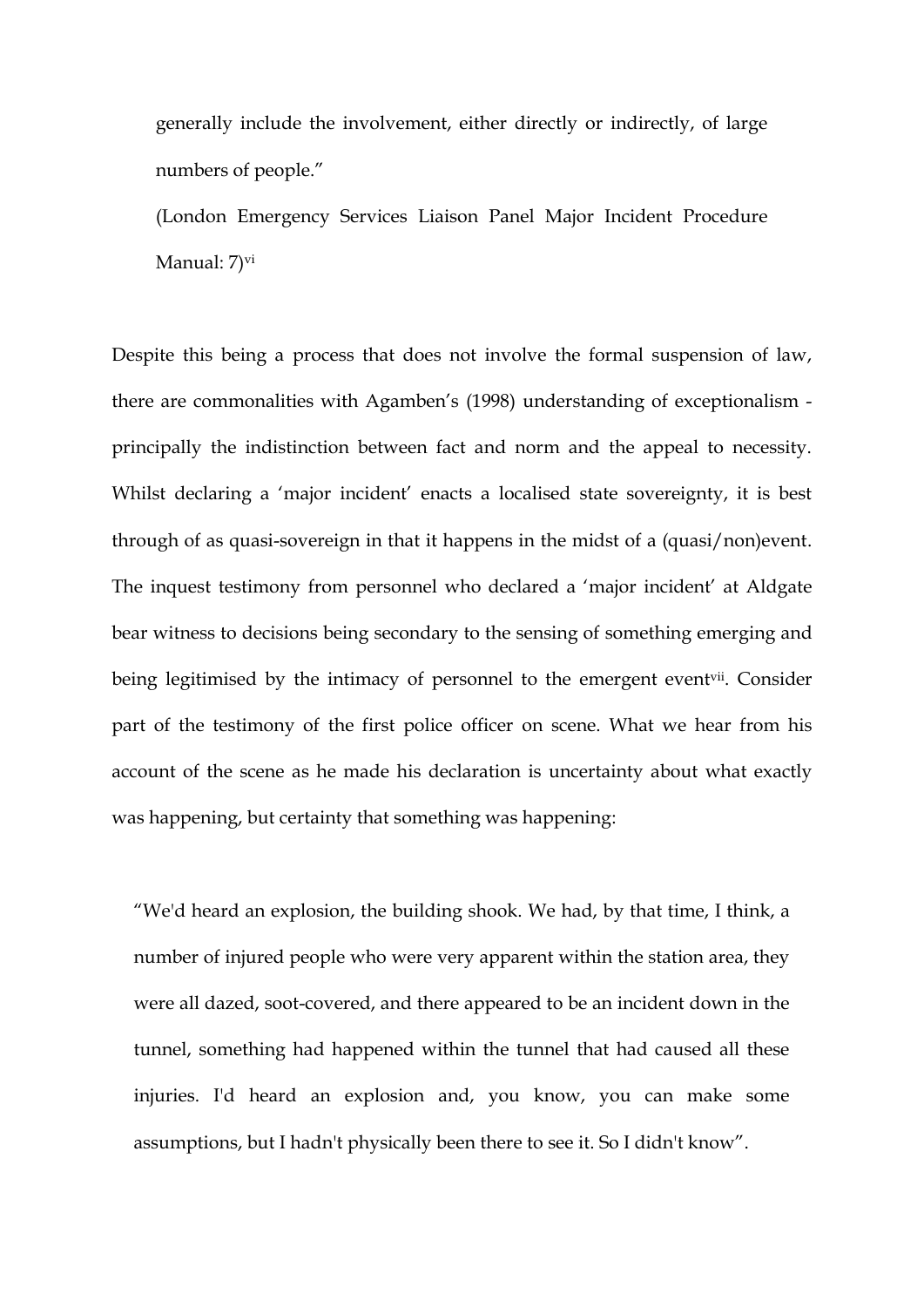generally include the involvement, either directly or indirectly, of large numbers of people."

(London Emergency Services Liaison Panel Major Incident Procedure Manual: 7)<sup>vi</sup>

Despite this being a process that does not involve the formal suspension of law, there are commonalities with Agamben's (1998) understanding of exceptionalism principally the indistinction between fact and norm and the appeal to necessity. Whilst declaring a 'major incident' enacts a localised state sovereignty, it is best through of as quasi-sovereign in that it happens in the midst of a (quasi/non)event. The inquest testimony from personnel who declared a 'major incident' at Aldgate bear witness to decisions being secondary to the sensing of something emerging and being legitimised by the intimacy of personnel to the emergent event<sup>vii</sup>. Consider part of the testimony of the first police officer on scene. What we hear from his account of the scene as he made his declaration is uncertainty about what exactly was happening, but certainty that something was happening:

"We'd heard an explosion, the building shook. We had, by that time, I think, a number of injured people who were very apparent within the station area, they were all dazed, soot-covered, and there appeared to be an incident down in the tunnel, something had happened within the tunnel that had caused all these injuries. I'd heard an explosion and, you know, you can make some assumptions, but I hadn't physically been there to see it. So I didn't know".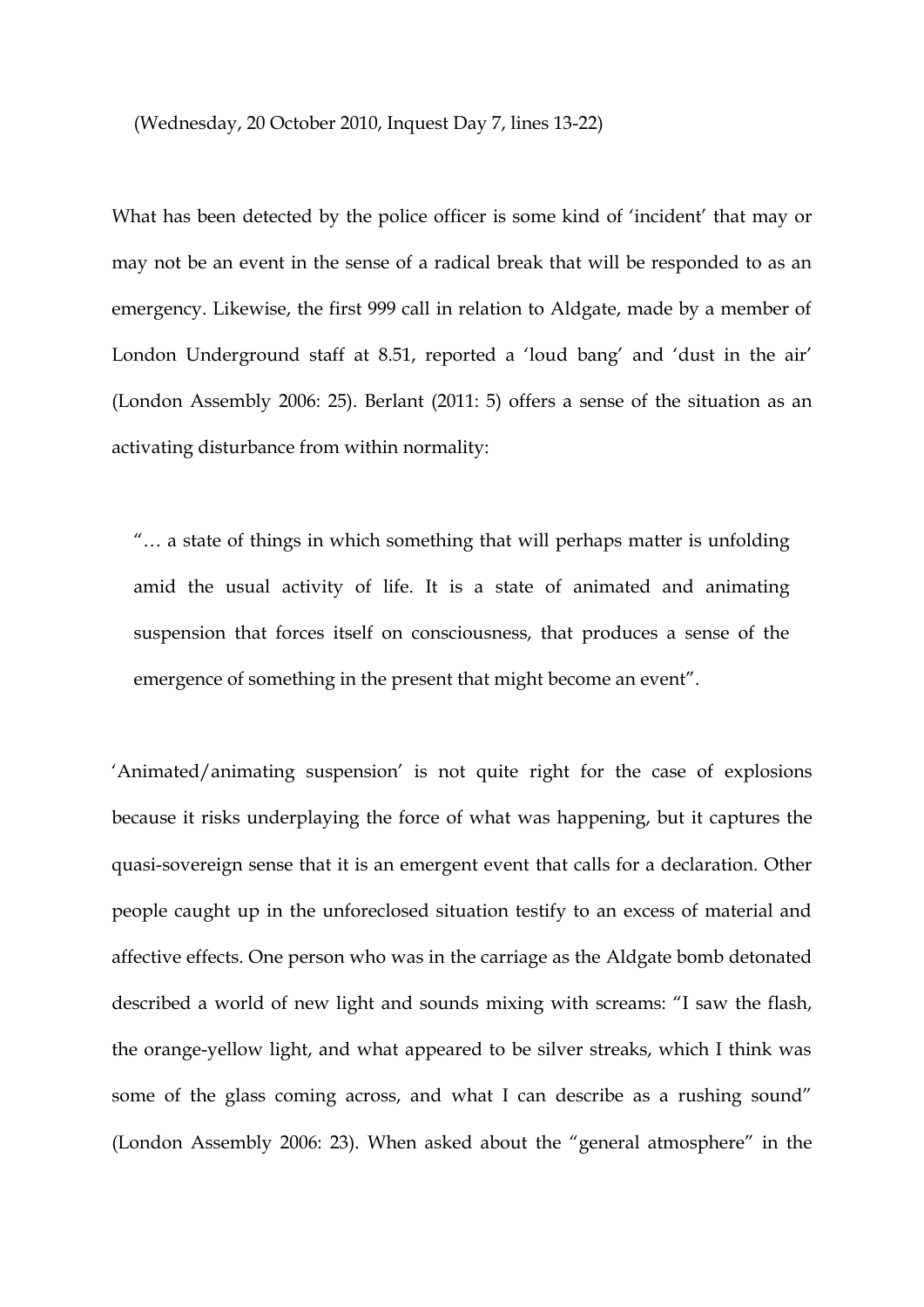(Wednesday, 20 October 2010, Inquest Day 7, lines 13-22)

What has been detected by the police officer is some kind of 'incident' that may or may not be an event in the sense of a radical break that will be responded to as an emergency. Likewise, the first 999 call in relation to Aldgate, made by a member of London Underground staff at 8.51, reported a 'loud bang' and 'dust in the air' (London Assembly 2006: 25). Berlant (2011: 5) offers a sense of the situation as an activating disturbance from within normality:

"… a state of things in which something that will perhaps matter is unfolding amid the usual activity of life. It is a state of animated and animating suspension that forces itself on consciousness, that produces a sense of the emergence of something in the present that might become an event".

'Animated/animating suspension' is not quite right for the case of explosions because it risks underplaying the force of what was happening, but it captures the quasi-sovereign sense that it is an emergent event that calls for a declaration. Other people caught up in the unforeclosed situation testify to an excess of material and affective effects. One person who was in the carriage as the Aldgate bomb detonated described a world of new light and sounds mixing with screams: "I saw the flash, the orange-yellow light, and what appeared to be silver streaks, which I think was some of the glass coming across, and what I can describe as a rushing sound" (London Assembly 2006: 23). When asked about the "general atmosphere" in the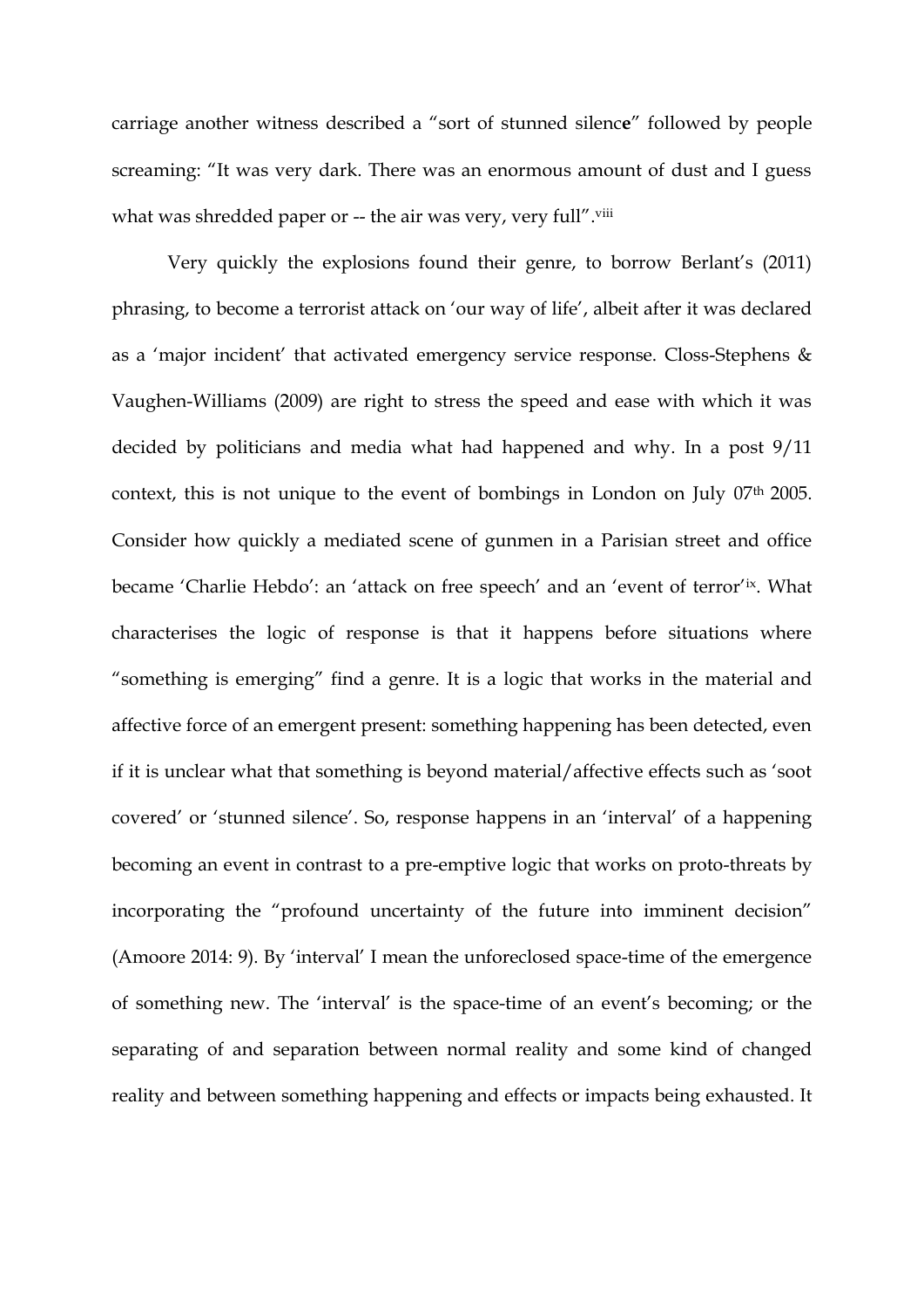carriage another witness described a "sort of stunned silenc**e**" followed by people screaming: "It was very dark. There was an enormous amount of dust and I guess what was shredded paper or -- the air was very, very full".<sup>viii</sup>

Very quickly the explosions found their genre, to borrow Berlant's (2011) phrasing, to become a terrorist attack on 'our way of life', albeit after it was declared as a 'major incident' that activated emergency service response. Closs-Stephens & Vaughen-Williams (2009) are right to stress the speed and ease with which it was decided by politicians and media what had happened and why. In a post 9/11 context, this is not unique to the event of bombings in London on July 07<sup>th</sup> 2005. Consider how quickly a mediated scene of gunmen in a Parisian street and office became 'Charlie Hebdo': an 'attack on free speech' and an 'event of terror'ix. What characterises the logic of response is that it happens before situations where "something is emerging" find a genre. It is a logic that works in the material and affective force of an emergent present: something happening has been detected, even if it is unclear what that something is beyond material/affective effects such as 'soot covered' or 'stunned silence'. So, response happens in an 'interval' of a happening becoming an event in contrast to a pre-emptive logic that works on proto-threats by incorporating the "profound uncertainty of the future into imminent decision" (Amoore 2014: 9). By 'interval' I mean the unforeclosed space-time of the emergence of something new. The 'interval' is the space-time of an event's becoming; or the separating of and separation between normal reality and some kind of changed reality and between something happening and effects or impacts being exhausted. It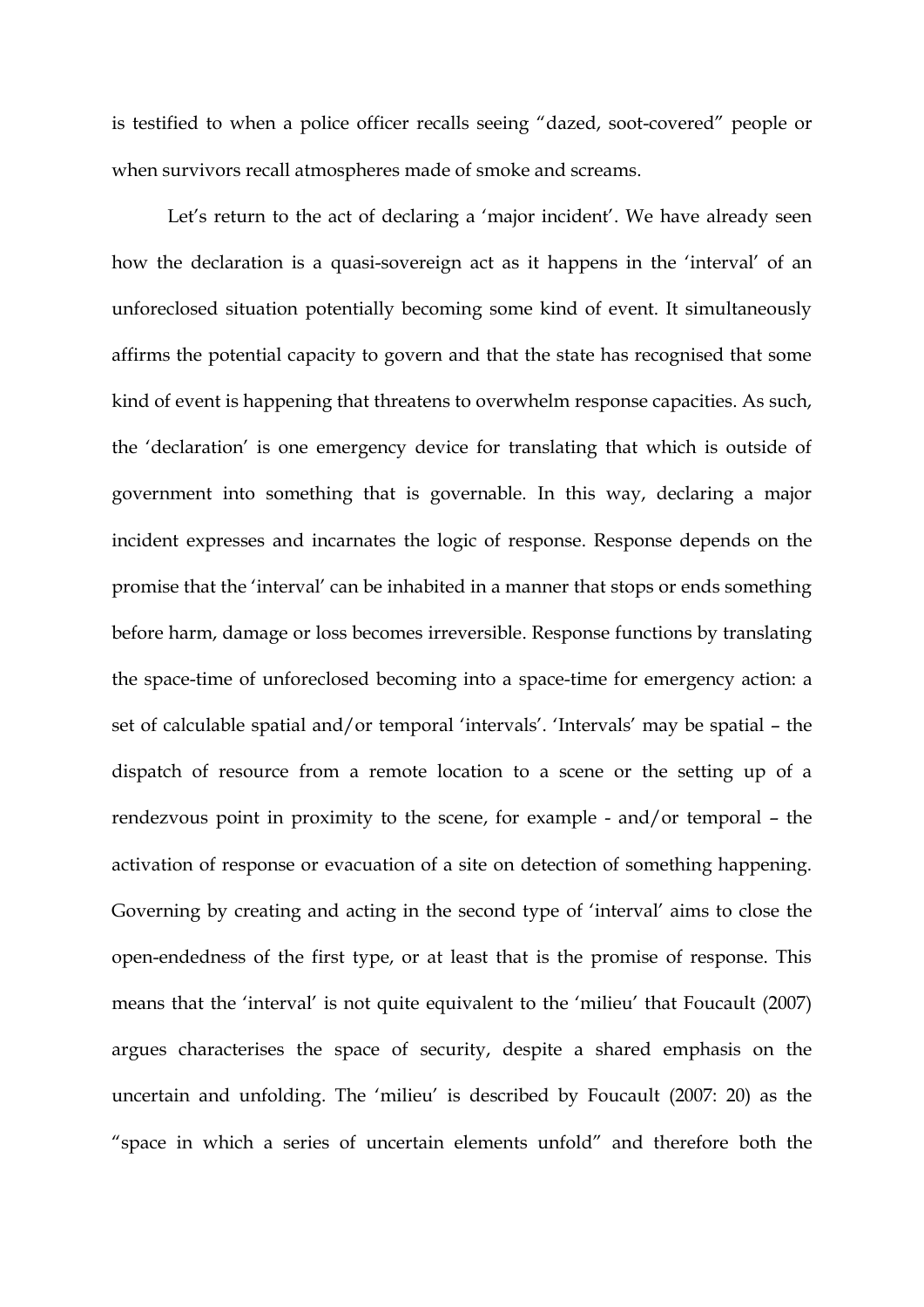is testified to when a police officer recalls seeing "dazed, soot-covered" people or when survivors recall atmospheres made of smoke and screams.

Let's return to the act of declaring a 'major incident'. We have already seen how the declaration is a quasi-sovereign act as it happens in the 'interval' of an unforeclosed situation potentially becoming some kind of event. It simultaneously affirms the potential capacity to govern and that the state has recognised that some kind of event is happening that threatens to overwhelm response capacities. As such, the 'declaration' is one emergency device for translating that which is outside of government into something that is governable. In this way, declaring a major incident expresses and incarnates the logic of response. Response depends on the promise that the 'interval' can be inhabited in a manner that stops or ends something before harm, damage or loss becomes irreversible. Response functions by translating the space-time of unforeclosed becoming into a space-time for emergency action: a set of calculable spatial and/or temporal 'intervals'. 'Intervals' may be spatial – the dispatch of resource from a remote location to a scene or the setting up of a rendezvous point in proximity to the scene, for example - and/or temporal – the activation of response or evacuation of a site on detection of something happening. Governing by creating and acting in the second type of 'interval' aims to close the open-endedness of the first type, or at least that is the promise of response. This means that the 'interval' is not quite equivalent to the 'milieu' that Foucault (2007) argues characterises the space of security, despite a shared emphasis on the uncertain and unfolding. The 'milieu' is described by Foucault (2007: 20) as the "space in which a series of uncertain elements unfold" and therefore both the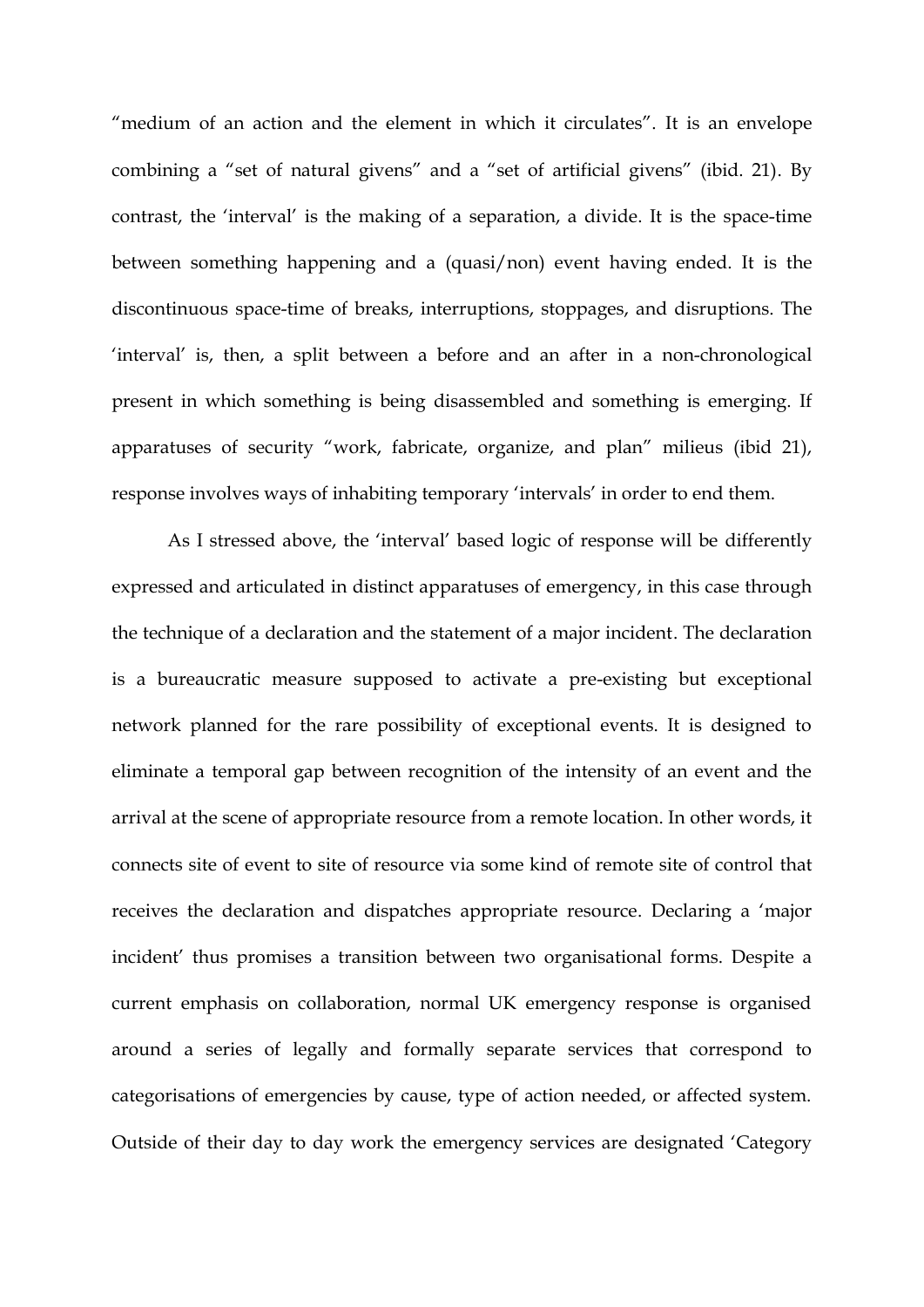"medium of an action and the element in which it circulates". It is an envelope combining a "set of natural givens" and a "set of artificial givens" (ibid. 21). By contrast, the 'interval' is the making of a separation, a divide. It is the space-time between something happening and a (quasi/non) event having ended. It is the discontinuous space-time of breaks, interruptions, stoppages, and disruptions. The 'interval' is, then, a split between a before and an after in a non-chronological present in which something is being disassembled and something is emerging. If apparatuses of security "work, fabricate, organize, and plan" milieus (ibid 21), response involves ways of inhabiting temporary 'intervals' in order to end them.

As I stressed above, the 'interval' based logic of response will be differently expressed and articulated in distinct apparatuses of emergency, in this case through the technique of a declaration and the statement of a major incident. The declaration is a bureaucratic measure supposed to activate a pre-existing but exceptional network planned for the rare possibility of exceptional events. It is designed to eliminate a temporal gap between recognition of the intensity of an event and the arrival at the scene of appropriate resource from a remote location. In other words, it connects site of event to site of resource via some kind of remote site of control that receives the declaration and dispatches appropriate resource. Declaring a 'major incident' thus promises a transition between two organisational forms. Despite a current emphasis on collaboration, normal UK emergency response is organised around a series of legally and formally separate services that correspond to categorisations of emergencies by cause, type of action needed, or affected system. Outside of their day to day work the emergency services are designated 'Category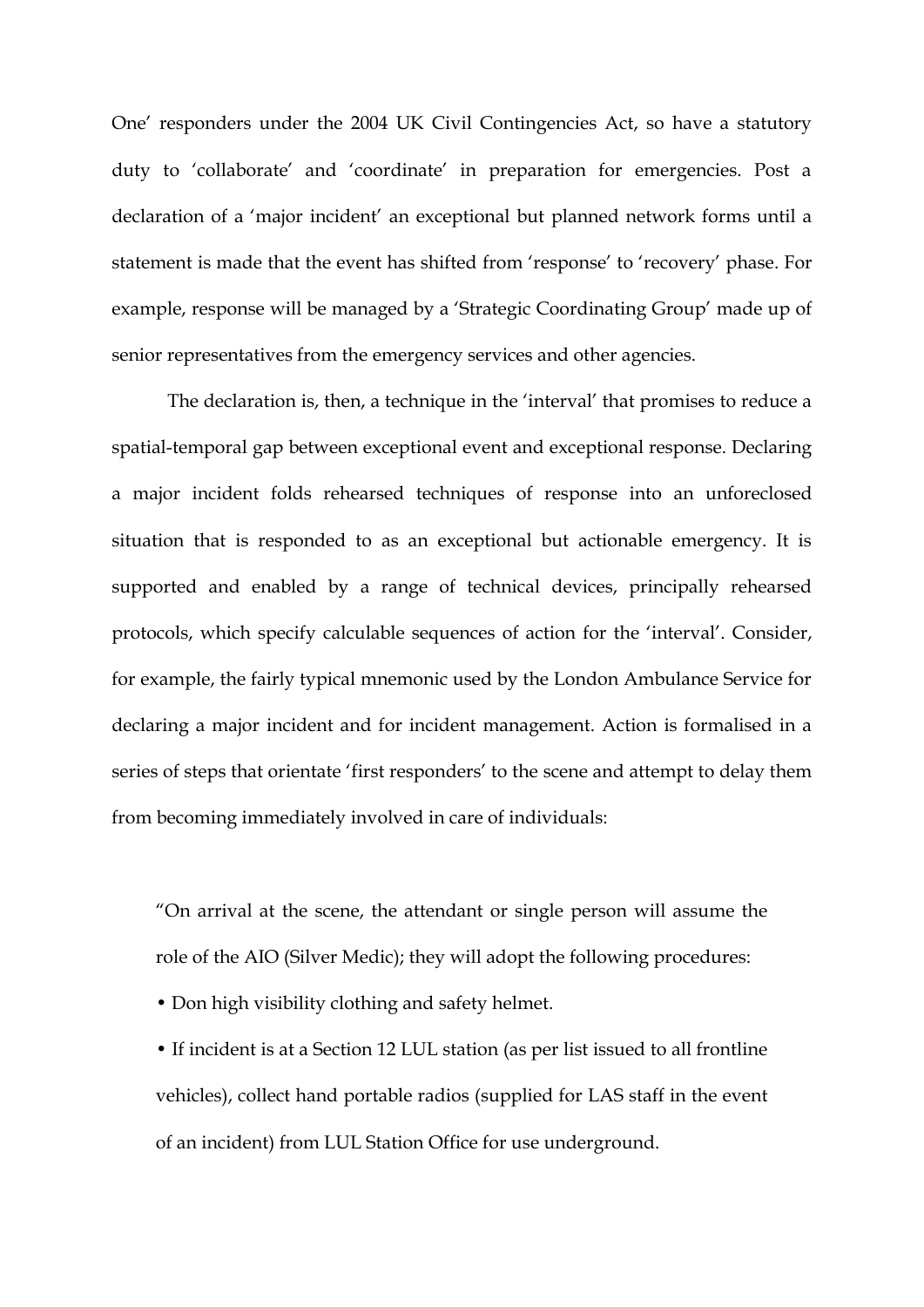One' responders under the 2004 UK Civil Contingencies Act, so have a statutory duty to 'collaborate' and 'coordinate' in preparation for emergencies. Post a declaration of a 'major incident' an exceptional but planned network forms until a statement is made that the event has shifted from 'response' to 'recovery' phase. For example, response will be managed by a 'Strategic Coordinating Group' made up of senior representatives from the emergency services and other agencies.

The declaration is, then, a technique in the 'interval' that promises to reduce a spatial-temporal gap between exceptional event and exceptional response. Declaring a major incident folds rehearsed techniques of response into an unforeclosed situation that is responded to as an exceptional but actionable emergency. It is supported and enabled by a range of technical devices, principally rehearsed protocols, which specify calculable sequences of action for the 'interval'. Consider, for example, the fairly typical mnemonic used by the London Ambulance Service for declaring a major incident and for incident management. Action is formalised in a series of steps that orientate 'first responders' to the scene and attempt to delay them from becoming immediately involved in care of individuals:

"On arrival at the scene, the attendant or single person will assume the role of the AIO (Silver Medic); they will adopt the following procedures:

• Don high visibility clothing and safety helmet.

• If incident is at a Section 12 LUL station (as per list issued to all frontline vehicles), collect hand portable radios (supplied for LAS staff in the event of an incident) from LUL Station Office for use underground.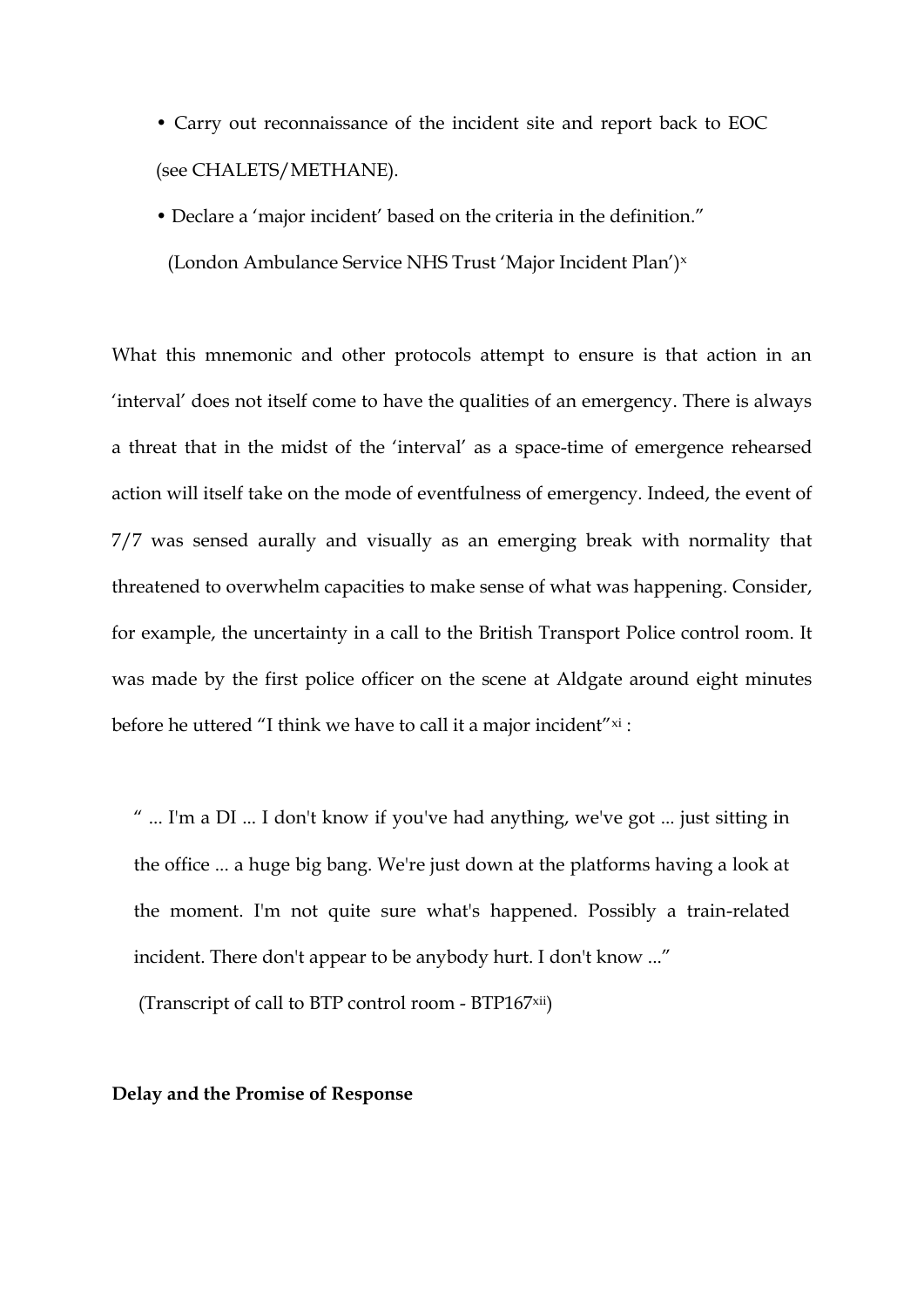• Carry out reconnaissance of the incident site and report back to EOC (see CHALETS/METHANE).

• Declare a 'major incident' based on the criteria in the definition." (London Ambulance Service NHS Trust 'Major Incident Plan')<sup>x</sup>

What this mnemonic and other protocols attempt to ensure is that action in an 'interval' does not itself come to have the qualities of an emergency. There is always a threat that in the midst of the 'interval' as a space-time of emergence rehearsed action will itself take on the mode of eventfulness of emergency. Indeed, the event of 7/7 was sensed aurally and visually as an emerging break with normality that threatened to overwhelm capacities to make sense of what was happening. Consider, for example, the uncertainty in a call to the British Transport Police control room. It was made by the first police officer on the scene at Aldgate around eight minutes before he uttered "I think we have to call it a major incident" $x_i$ :

" ... I'm a DI ... I don't know if you've had anything, we've got ... just sitting in the office ... a huge big bang. We're just down at the platforms having a look at the moment. I'm not quite sure what's happened. Possibly a train-related incident. There don't appear to be anybody hurt. I don't know ..."

(Transcript of call to BTP control room - BTP167xii)

#### **Delay and the Promise of Response**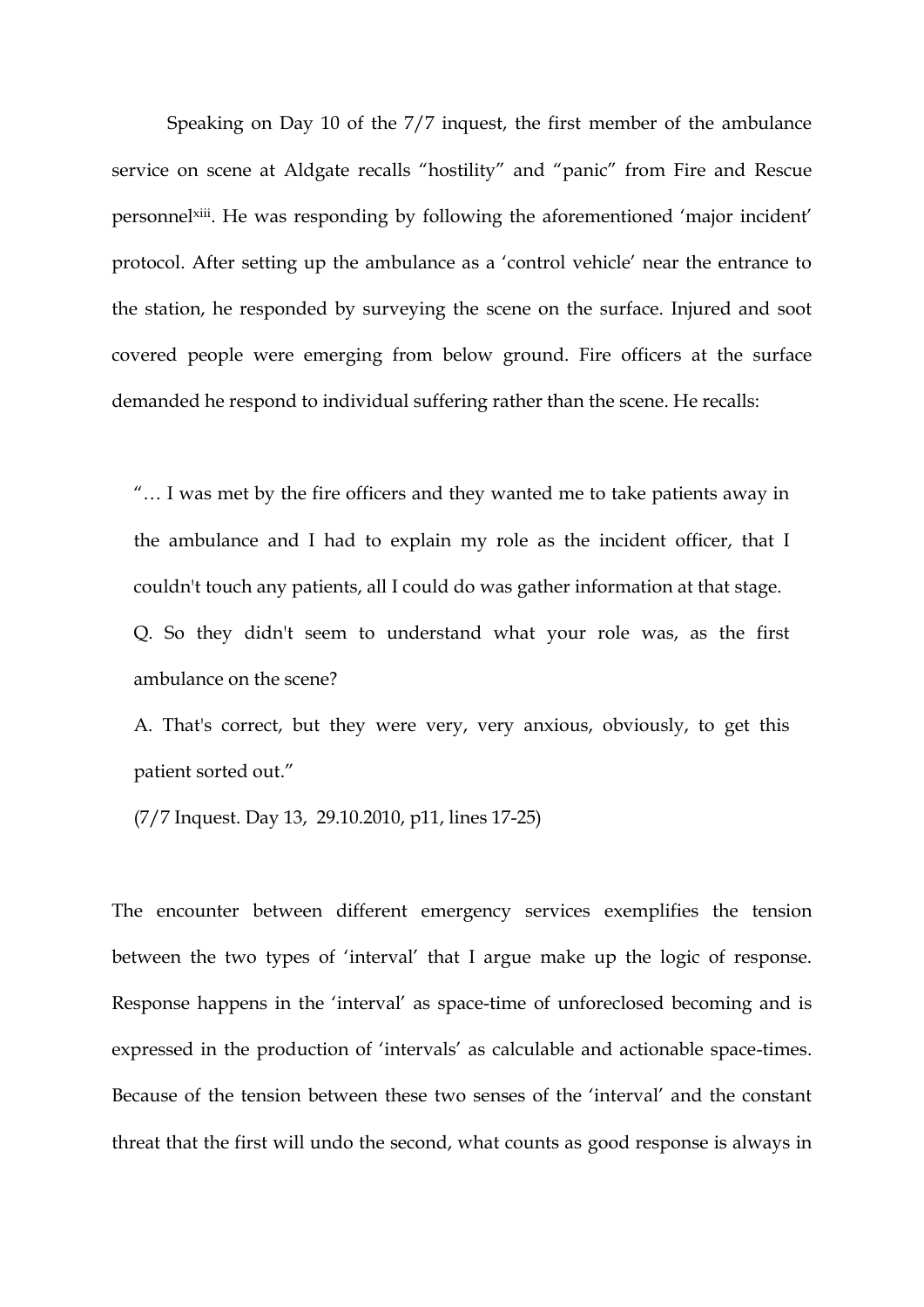Speaking on Day 10 of the 7/7 inquest, the first member of the ambulance service on scene at Aldgate recalls "hostility" and "panic" from Fire and Rescue personnel<sup>xiii</sup>. He was responding by following the aforementioned 'major incident' protocol. After setting up the ambulance as a 'control vehicle' near the entrance to the station, he responded by surveying the scene on the surface. Injured and soot covered people were emerging from below ground. Fire officers at the surface demanded he respond to individual suffering rather than the scene. He recalls:

"… I was met by the fire officers and they wanted me to take patients away in the ambulance and I had to explain my role as the incident officer, that I couldn't touch any patients, all I could do was gather information at that stage. Q. So they didn't seem to understand what your role was, as the first ambulance on the scene?

A. That's correct, but they were very, very anxious, obviously, to get this patient sorted out."

(7/7 Inquest. Day 13, 29.10.2010, p11, lines 17-25)

The encounter between different emergency services exemplifies the tension between the two types of 'interval' that I argue make up the logic of response. Response happens in the 'interval' as space-time of unforeclosed becoming and is expressed in the production of 'intervals' as calculable and actionable space-times. Because of the tension between these two senses of the 'interval' and the constant threat that the first will undo the second, what counts as good response is always in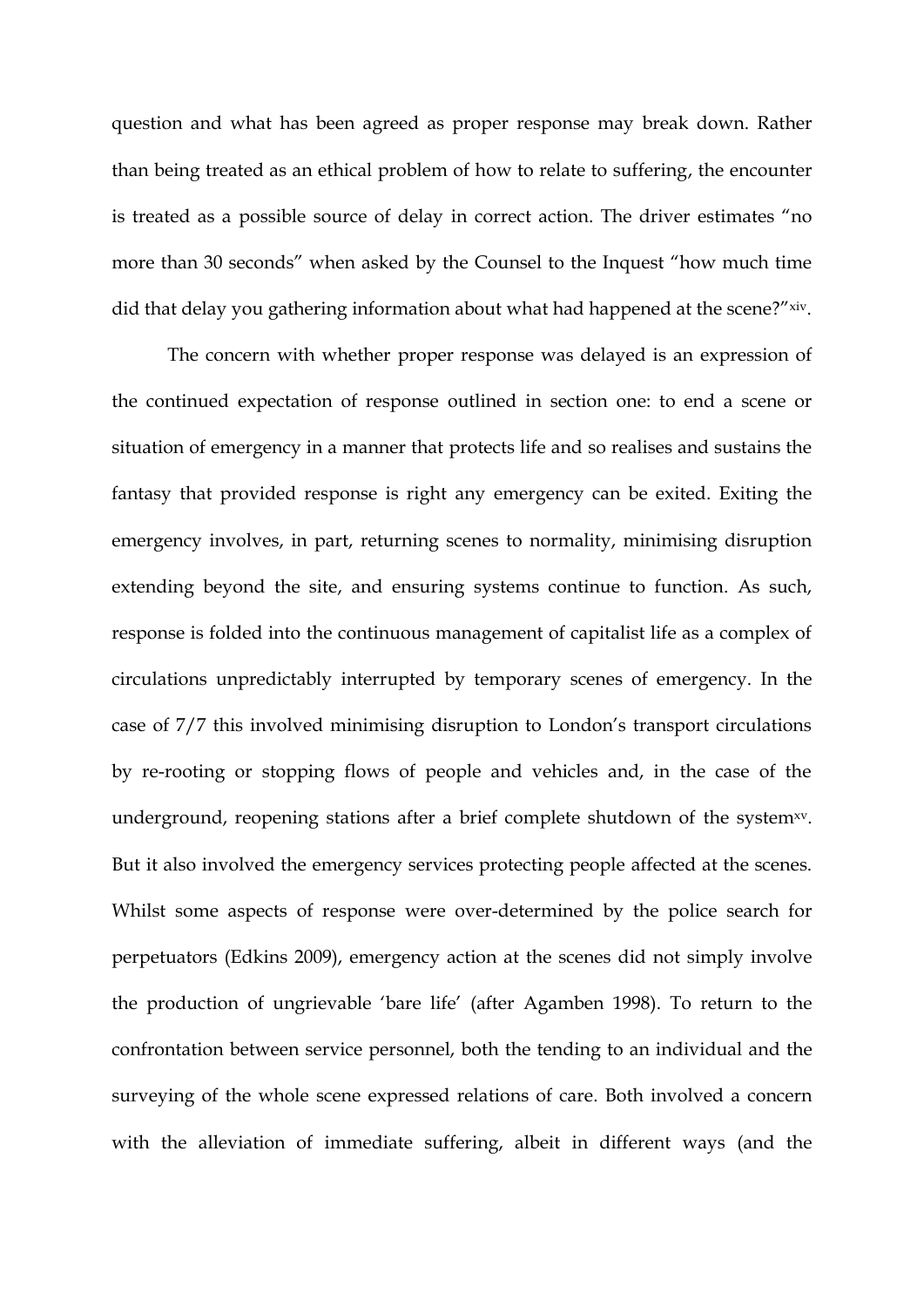question and what has been agreed as proper response may break down. Rather than being treated as an ethical problem of how to relate to suffering, the encounter is treated as a possible source of delay in correct action. The driver estimates "no more than 30 seconds" when asked by the Counsel to the Inquest "how much time did that delay you gathering information about what had happened at the scene?"xiv.

The concern with whether proper response was delayed is an expression of the continued expectation of response outlined in section one: to end a scene or situation of emergency in a manner that protects life and so realises and sustains the fantasy that provided response is right any emergency can be exited. Exiting the emergency involves, in part, returning scenes to normality, minimising disruption extending beyond the site, and ensuring systems continue to function. As such, response is folded into the continuous management of capitalist life as a complex of circulations unpredictably interrupted by temporary scenes of emergency. In the case of 7/7 this involved minimising disruption to London's transport circulations by re-rooting or stopping flows of people and vehicles and, in the case of the underground, reopening stations after a brief complete shutdown of the system<sup>xv</sup>. But it also involved the emergency services protecting people affected at the scenes. Whilst some aspects of response were over-determined by the police search for perpetuators (Edkins 2009), emergency action at the scenes did not simply involve the production of ungrievable 'bare life' (after Agamben 1998). To return to the confrontation between service personnel, both the tending to an individual and the surveying of the whole scene expressed relations of care. Both involved a concern with the alleviation of immediate suffering, albeit in different ways (and the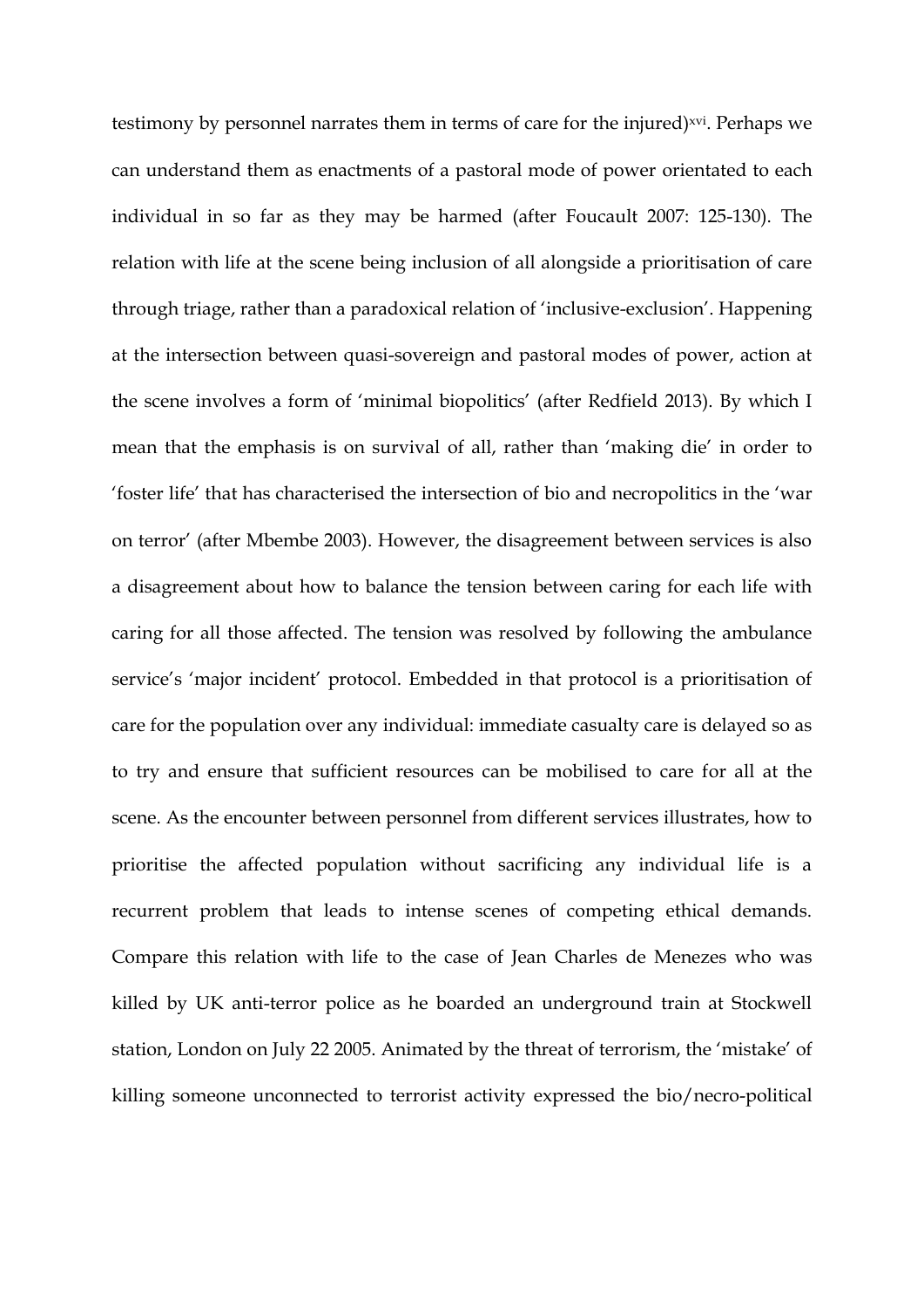testimony by personnel narrates them in terms of care for the injured)<sup>xvi</sup>. Perhaps we can understand them as enactments of a pastoral mode of power orientated to each individual in so far as they may be harmed (after Foucault 2007: 125-130). The relation with life at the scene being inclusion of all alongside a prioritisation of care through triage, rather than a paradoxical relation of 'inclusive-exclusion'. Happening at the intersection between quasi-sovereign and pastoral modes of power, action at the scene involves a form of 'minimal biopolitics' (after Redfield 2013). By which I mean that the emphasis is on survival of all, rather than 'making die' in order to 'foster life' that has characterised the intersection of bio and necropolitics in the 'war on terror' (after Mbembe 2003). However, the disagreement between services is also a disagreement about how to balance the tension between caring for each life with caring for all those affected. The tension was resolved by following the ambulance service's 'major incident' protocol. Embedded in that protocol is a prioritisation of care for the population over any individual: immediate casualty care is delayed so as to try and ensure that sufficient resources can be mobilised to care for all at the scene. As the encounter between personnel from different services illustrates, how to prioritise the affected population without sacrificing any individual life is a recurrent problem that leads to intense scenes of competing ethical demands. Compare this relation with life to the case of Jean Charles de Menezes who was killed by UK anti-terror police as he boarded an underground train at Stockwell station, London on July 22 2005. Animated by the threat of terrorism, the 'mistake' of killing someone unconnected to terrorist activity expressed the bio/necro-political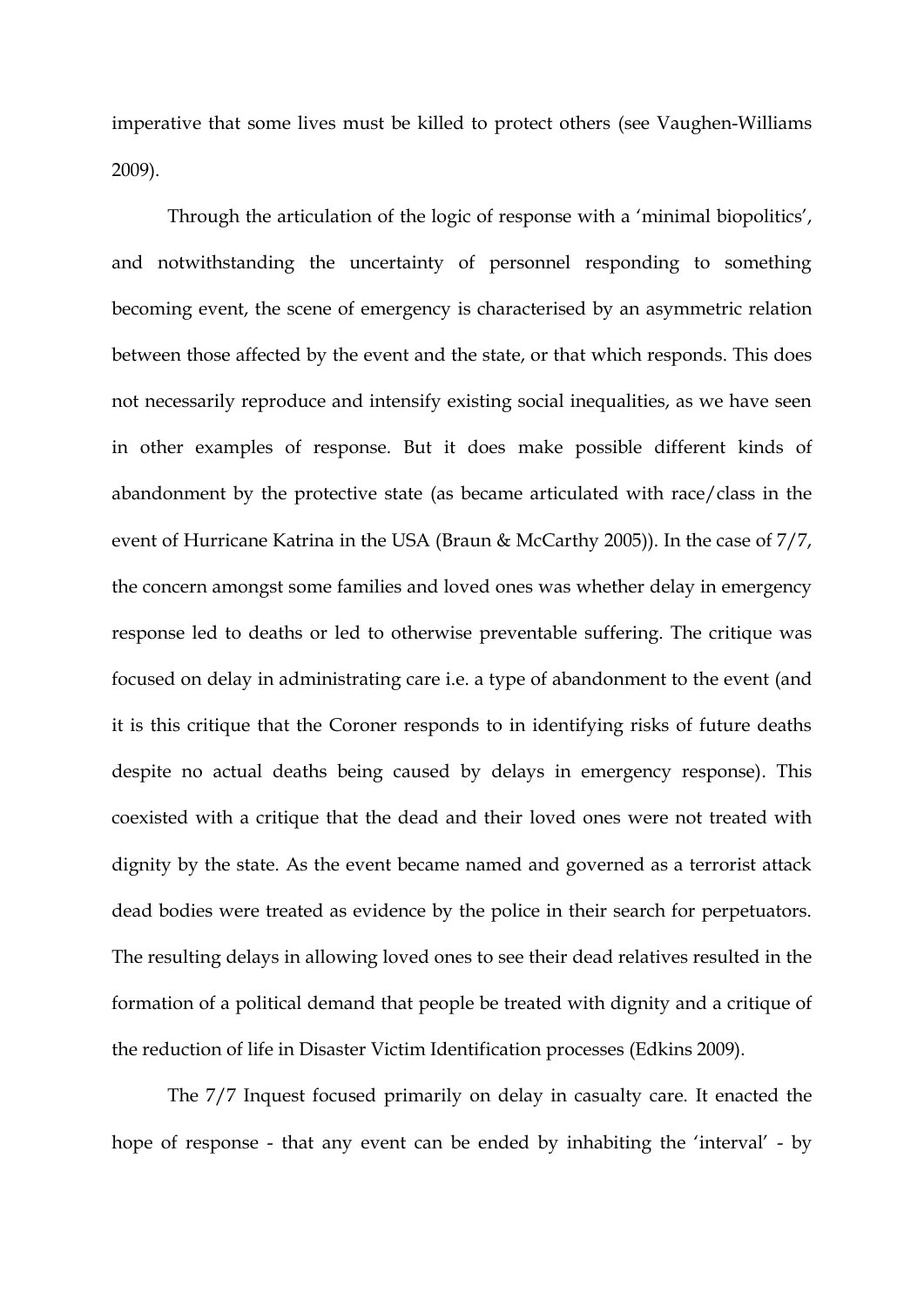imperative that some lives must be killed to protect others (see Vaughen-Williams 2009).

Through the articulation of the logic of response with a 'minimal biopolitics', and notwithstanding the uncertainty of personnel responding to something becoming event, the scene of emergency is characterised by an asymmetric relation between those affected by the event and the state, or that which responds. This does not necessarily reproduce and intensify existing social inequalities, as we have seen in other examples of response. But it does make possible different kinds of abandonment by the protective state (as became articulated with race/class in the event of Hurricane Katrina in the USA (Braun & McCarthy 2005)). In the case of 7/7, the concern amongst some families and loved ones was whether delay in emergency response led to deaths or led to otherwise preventable suffering. The critique was focused on delay in administrating care i.e. a type of abandonment to the event (and it is this critique that the Coroner responds to in identifying risks of future deaths despite no actual deaths being caused by delays in emergency response). This coexisted with a critique that the dead and their loved ones were not treated with dignity by the state. As the event became named and governed as a terrorist attack dead bodies were treated as evidence by the police in their search for perpetuators. The resulting delays in allowing loved ones to see their dead relatives resulted in the formation of a political demand that people be treated with dignity and a critique of the reduction of life in Disaster Victim Identification processes (Edkins 2009).

The 7/7 Inquest focused primarily on delay in casualty care. It enacted the hope of response - that any event can be ended by inhabiting the 'interval' - by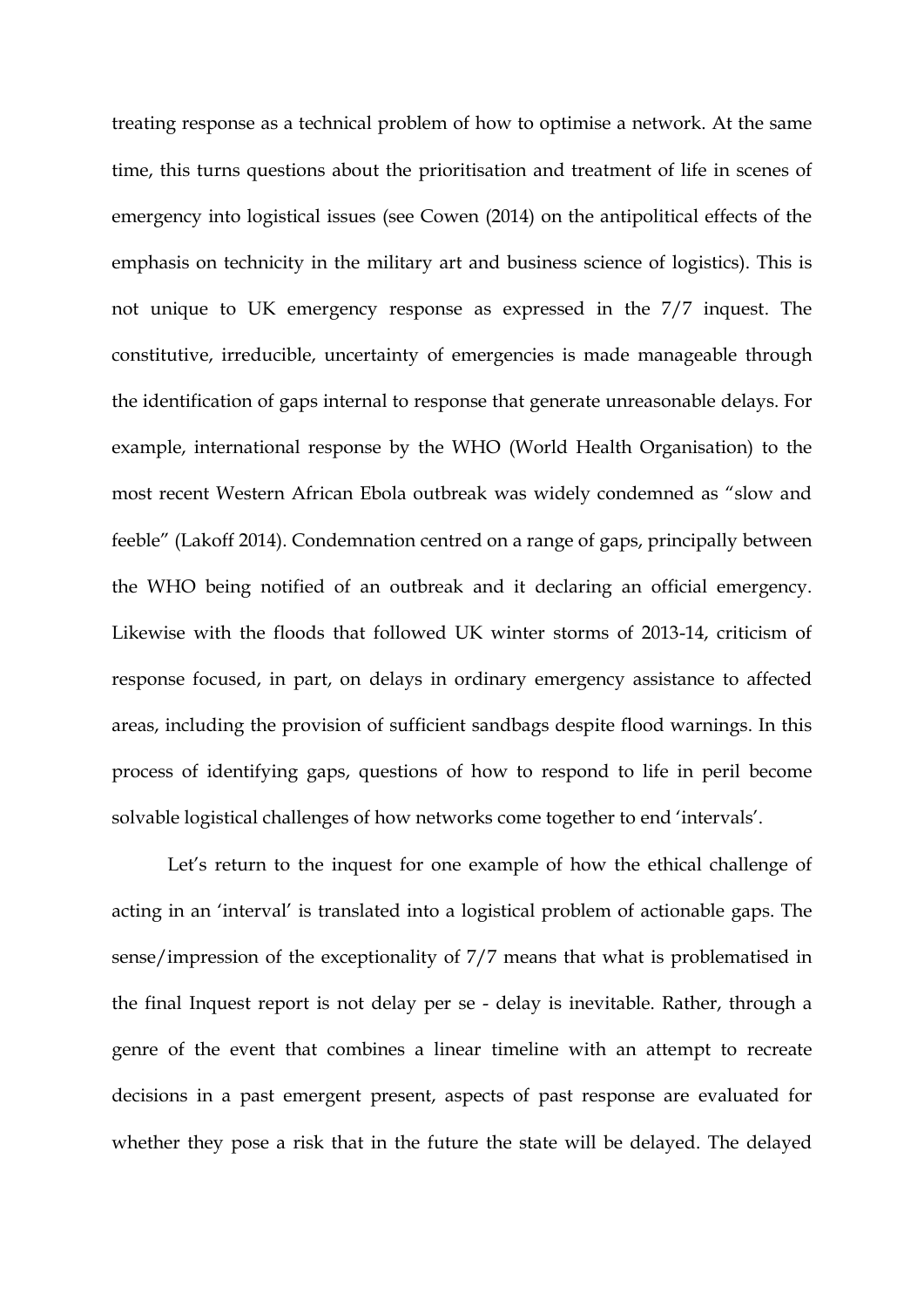treating response as a technical problem of how to optimise a network. At the same time, this turns questions about the prioritisation and treatment of life in scenes of emergency into logistical issues (see Cowen (2014) on the antipolitical effects of the emphasis on technicity in the military art and business science of logistics). This is not unique to UK emergency response as expressed in the 7/7 inquest. The constitutive, irreducible, uncertainty of emergencies is made manageable through the identification of gaps internal to response that generate unreasonable delays. For example, international response by the WHO (World Health Organisation) to the most recent Western African Ebola outbreak was widely condemned as "slow and feeble" (Lakoff 2014). Condemnation centred on a range of gaps, principally between the WHO being notified of an outbreak and it declaring an official emergency. Likewise with the floods that followed UK winter storms of 2013-14, criticism of response focused, in part, on delays in ordinary emergency assistance to affected areas, including the provision of sufficient sandbags despite flood warnings. In this process of identifying gaps, questions of how to respond to life in peril become solvable logistical challenges of how networks come together to end 'intervals'.

Let's return to the inquest for one example of how the ethical challenge of acting in an 'interval' is translated into a logistical problem of actionable gaps. The sense/impression of the exceptionality of 7/7 means that what is problematised in the final Inquest report is not delay per se - delay is inevitable. Rather, through a genre of the event that combines a linear timeline with an attempt to recreate decisions in a past emergent present, aspects of past response are evaluated for whether they pose a risk that in the future the state will be delayed. The delayed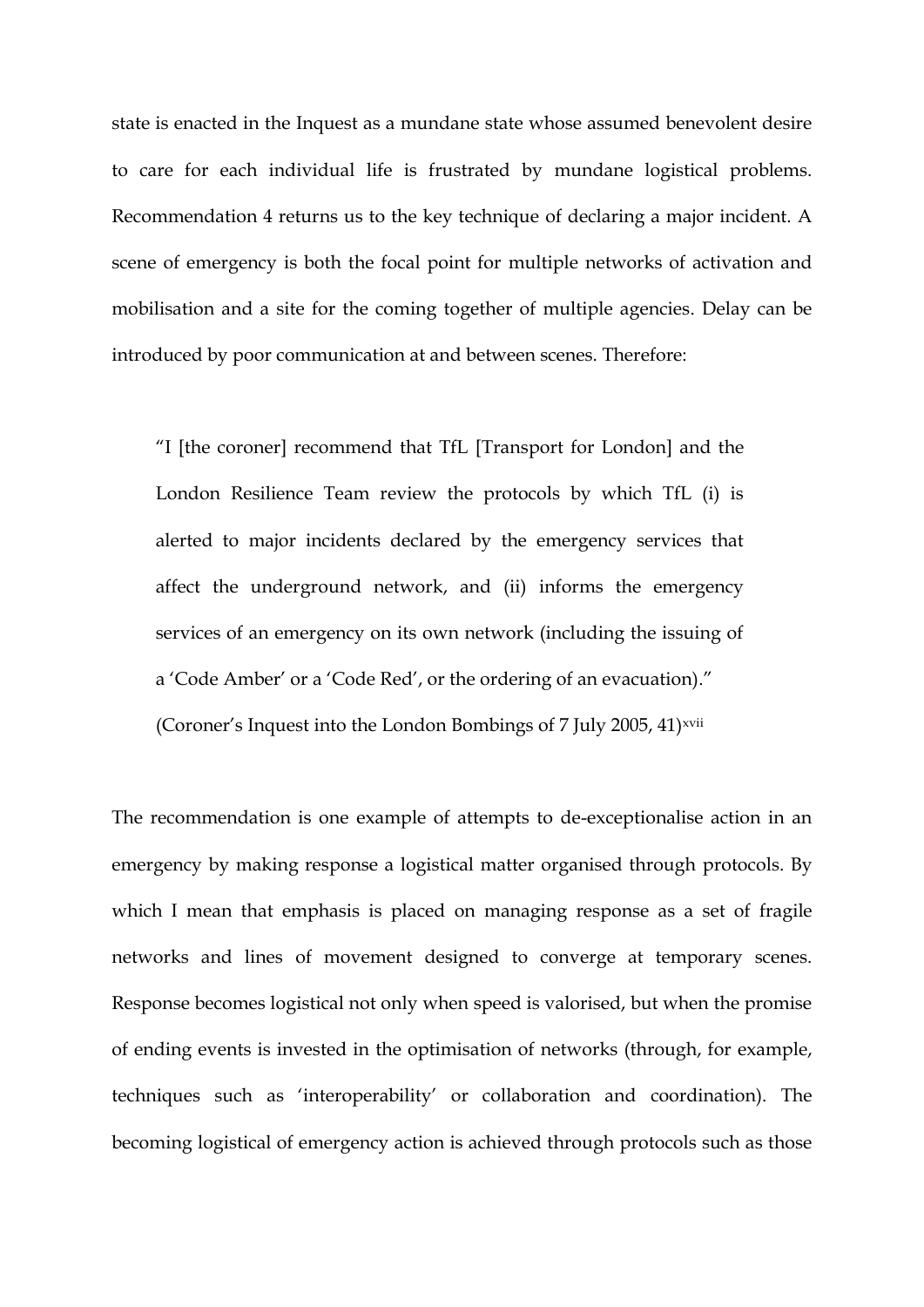state is enacted in the Inquest as a mundane state whose assumed benevolent desire to care for each individual life is frustrated by mundane logistical problems. Recommendation 4 returns us to the key technique of declaring a major incident. A scene of emergency is both the focal point for multiple networks of activation and mobilisation and a site for the coming together of multiple agencies. Delay can be introduced by poor communication at and between scenes. Therefore:

"I [the coroner] recommend that TfL [Transport for London] and the London Resilience Team review the protocols by which TfL (i) is alerted to major incidents declared by the emergency services that affect the underground network, and (ii) informs the emergency services of an emergency on its own network (including the issuing of a 'Code Amber' or a 'Code Red', or the ordering of an evacuation)." (Coroner's Inquest into the London Bombings of 7 July 2005, 41)xvii

The recommendation is one example of attempts to de-exceptionalise action in an emergency by making response a logistical matter organised through protocols. By which I mean that emphasis is placed on managing response as a set of fragile networks and lines of movement designed to converge at temporary scenes. Response becomes logistical not only when speed is valorised, but when the promise of ending events is invested in the optimisation of networks (through, for example, techniques such as 'interoperability' or collaboration and coordination). The becoming logistical of emergency action is achieved through protocols such as those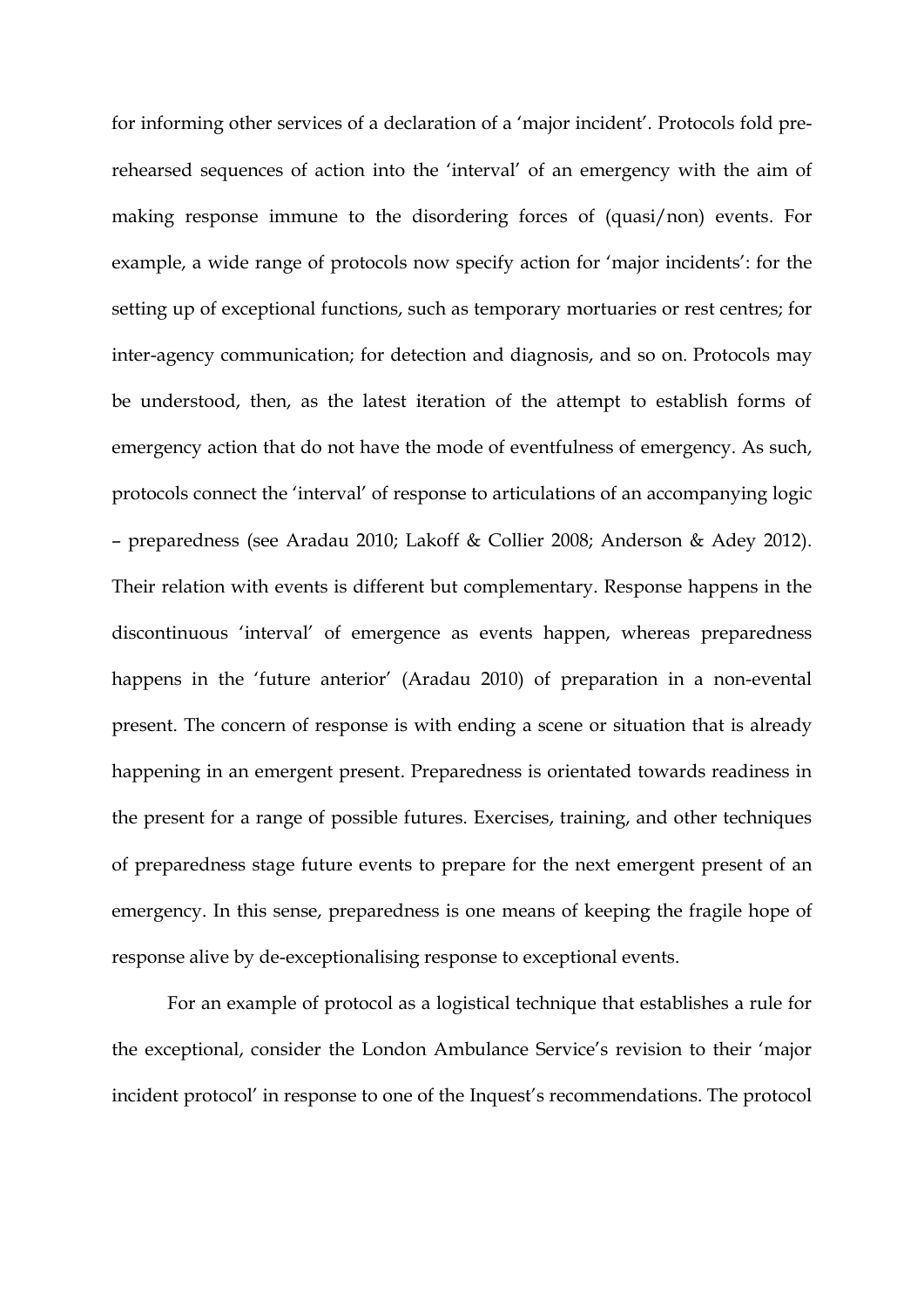for informing other services of a declaration of a 'major incident'. Protocols fold prerehearsed sequences of action into the 'interval' of an emergency with the aim of making response immune to the disordering forces of (quasi/non) events. For example, a wide range of protocols now specify action for 'major incidents': for the setting up of exceptional functions, such as temporary mortuaries or rest centres; for inter-agency communication; for detection and diagnosis, and so on. Protocols may be understood, then, as the latest iteration of the attempt to establish forms of emergency action that do not have the mode of eventfulness of emergency. As such, protocols connect the 'interval' of response to articulations of an accompanying logic – preparedness (see Aradau 2010; Lakoff & Collier 2008; Anderson & Adey 2012). Their relation with events is different but complementary. Response happens in the discontinuous 'interval' of emergence as events happen, whereas preparedness happens in the 'future anterior' (Aradau 2010) of preparation in a non-evental present. The concern of response is with ending a scene or situation that is already happening in an emergent present. Preparedness is orientated towards readiness in the present for a range of possible futures. Exercises, training, and other techniques of preparedness stage future events to prepare for the next emergent present of an emergency. In this sense, preparedness is one means of keeping the fragile hope of response alive by de-exceptionalising response to exceptional events.

For an example of protocol as a logistical technique that establishes a rule for the exceptional, consider the London Ambulance Service's revision to their 'major incident protocol' in response to one of the Inquest's recommendations. The protocol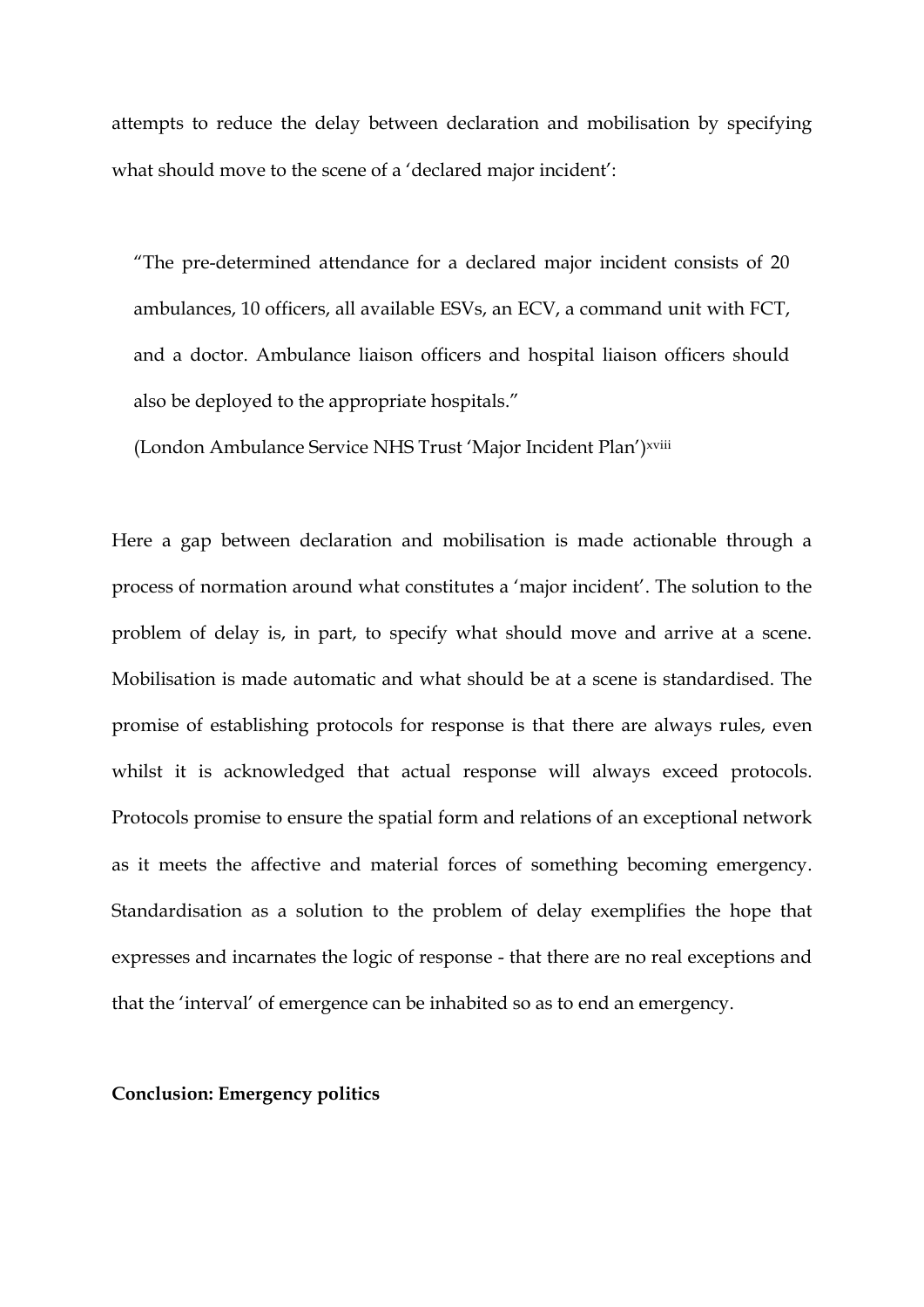attempts to reduce the delay between declaration and mobilisation by specifying what should move to the scene of a 'declared major incident':

"The pre-determined attendance for a declared major incident consists of 20 ambulances, 10 officers, all available ESVs, an ECV, a command unit with FCT, and a doctor. Ambulance liaison officers and hospital liaison officers should also be deployed to the appropriate hospitals."

(London Ambulance Service NHS Trust 'Major Incident Plan') xviii

Here a gap between declaration and mobilisation is made actionable through a process of normation around what constitutes a 'major incident'. The solution to the problem of delay is, in part, to specify what should move and arrive at a scene. Mobilisation is made automatic and what should be at a scene is standardised. The promise of establishing protocols for response is that there are always rules, even whilst it is acknowledged that actual response will always exceed protocols. Protocols promise to ensure the spatial form and relations of an exceptional network as it meets the affective and material forces of something becoming emergency. Standardisation as a solution to the problem of delay exemplifies the hope that expresses and incarnates the logic of response - that there are no real exceptions and that the 'interval' of emergence can be inhabited so as to end an emergency.

#### **Conclusion: Emergency politics**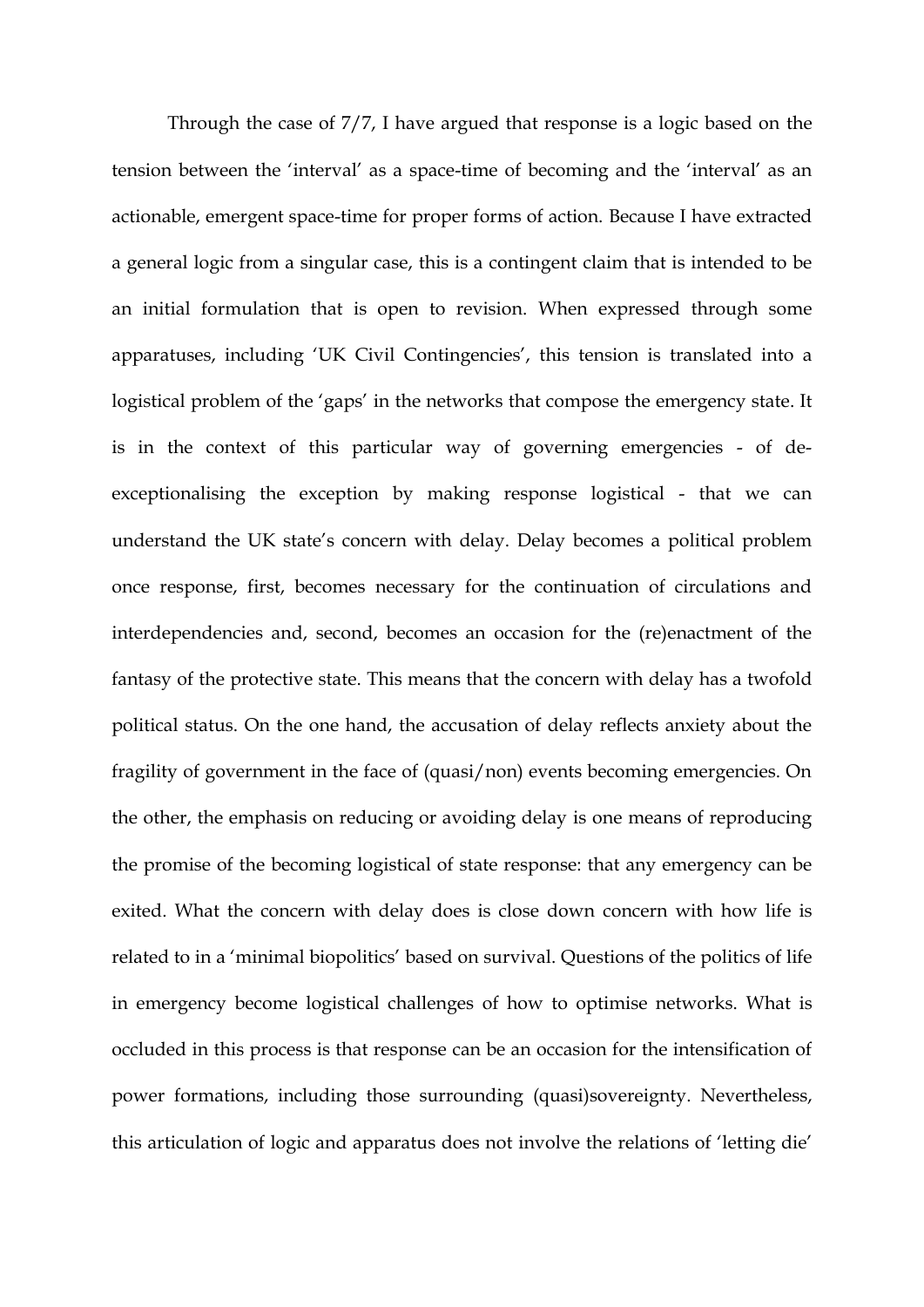Through the case of 7/7, I have argued that response is a logic based on the tension between the 'interval' as a space-time of becoming and the 'interval' as an actionable, emergent space-time for proper forms of action. Because I have extracted a general logic from a singular case, this is a contingent claim that is intended to be an initial formulation that is open to revision. When expressed through some apparatuses, including 'UK Civil Contingencies', this tension is translated into a logistical problem of the 'gaps' in the networks that compose the emergency state. It is in the context of this particular way of governing emergencies - of deexceptionalising the exception by making response logistical - that we can understand the UK state's concern with delay. Delay becomes a political problem once response, first, becomes necessary for the continuation of circulations and interdependencies and, second, becomes an occasion for the (re)enactment of the fantasy of the protective state. This means that the concern with delay has a twofold political status. On the one hand, the accusation of delay reflects anxiety about the fragility of government in the face of (quasi/non) events becoming emergencies. On the other, the emphasis on reducing or avoiding delay is one means of reproducing the promise of the becoming logistical of state response: that any emergency can be exited. What the concern with delay does is close down concern with how life is related to in a 'minimal biopolitics' based on survival. Questions of the politics of life in emergency become logistical challenges of how to optimise networks. What is occluded in this process is that response can be an occasion for the intensification of power formations, including those surrounding (quasi)sovereignty. Nevertheless, this articulation of logic and apparatus does not involve the relations of 'letting die'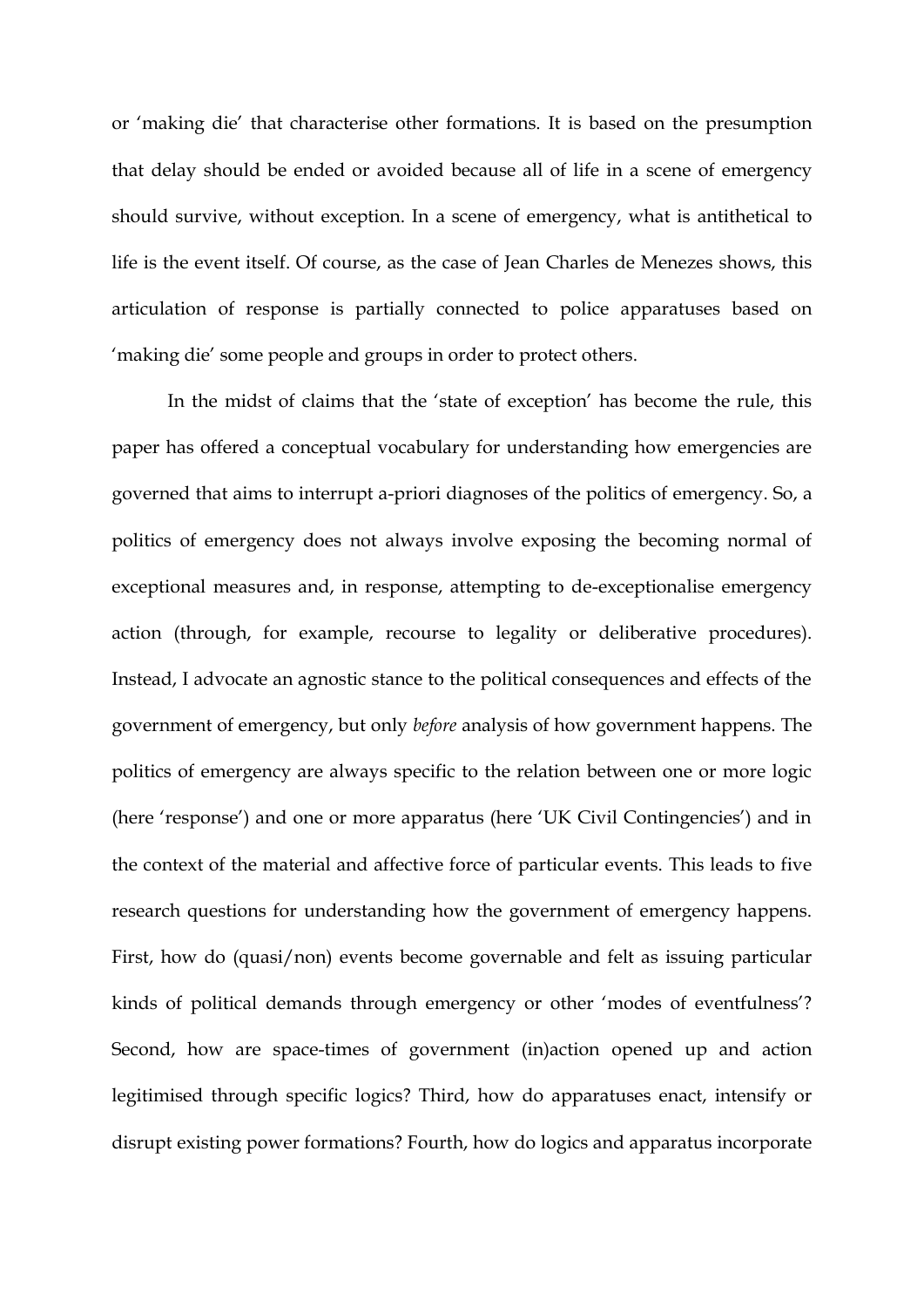or 'making die' that characterise other formations. It is based on the presumption that delay should be ended or avoided because all of life in a scene of emergency should survive, without exception. In a scene of emergency, what is antithetical to life is the event itself. Of course, as the case of Jean Charles de Menezes shows, this articulation of response is partially connected to police apparatuses based on 'making die' some people and groups in order to protect others.

In the midst of claims that the 'state of exception' has become the rule, this paper has offered a conceptual vocabulary for understanding how emergencies are governed that aims to interrupt a-priori diagnoses of the politics of emergency. So, a politics of emergency does not always involve exposing the becoming normal of exceptional measures and, in response, attempting to de-exceptionalise emergency action (through, for example, recourse to legality or deliberative procedures). Instead, I advocate an agnostic stance to the political consequences and effects of the government of emergency, but only *before* analysis of how government happens. The politics of emergency are always specific to the relation between one or more logic (here 'response') and one or more apparatus (here 'UK Civil Contingencies') and in the context of the material and affective force of particular events. This leads to five research questions for understanding how the government of emergency happens. First, how do (quasi/non) events become governable and felt as issuing particular kinds of political demands through emergency or other 'modes of eventfulness'? Second, how are space-times of government (in)action opened up and action legitimised through specific logics? Third, how do apparatuses enact, intensify or disrupt existing power formations? Fourth, how do logics and apparatus incorporate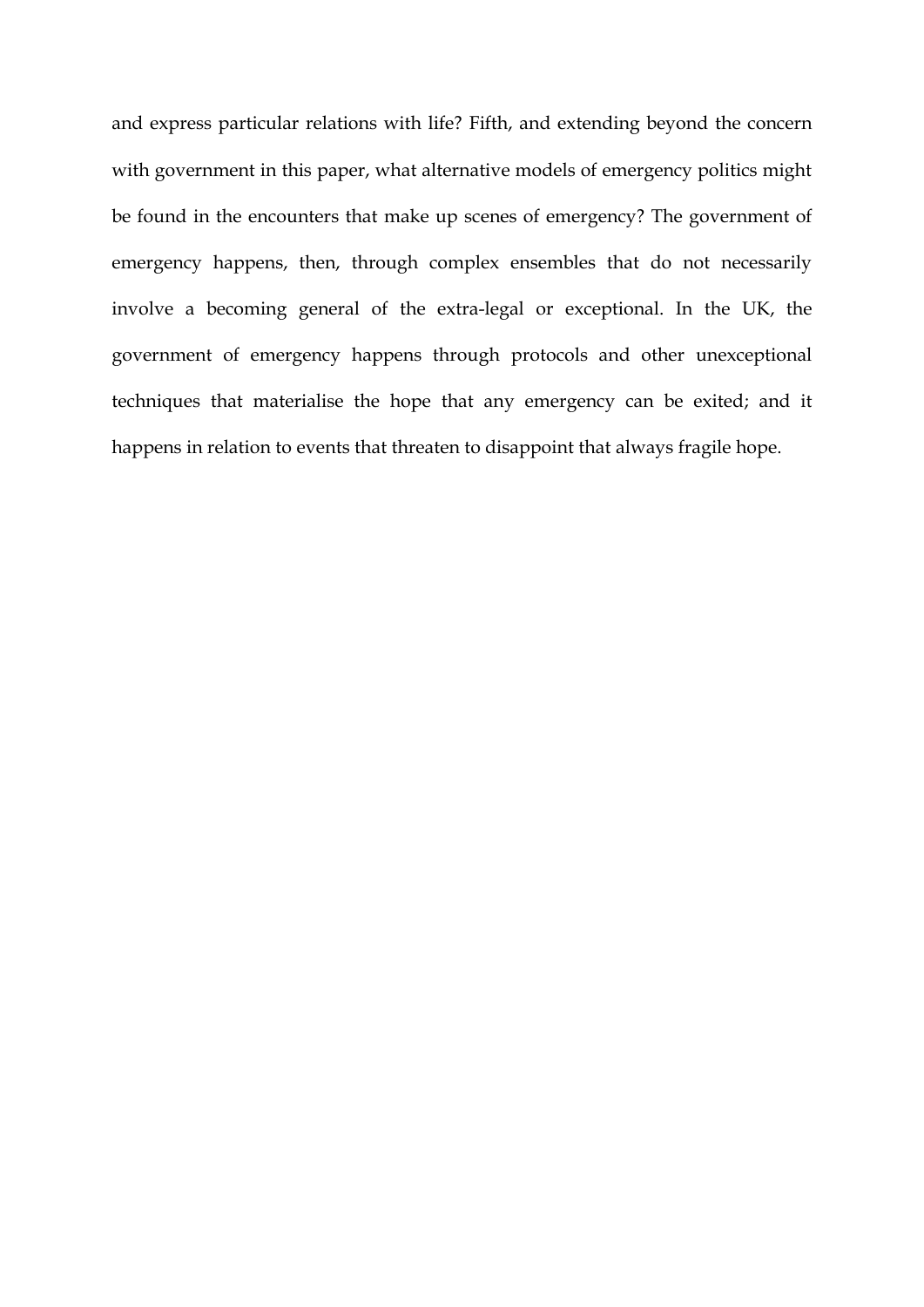and express particular relations with life? Fifth, and extending beyond the concern with government in this paper, what alternative models of emergency politics might be found in the encounters that make up scenes of emergency? The government of emergency happens, then, through complex ensembles that do not necessarily involve a becoming general of the extra-legal or exceptional. In the UK, the government of emergency happens through protocols and other unexceptional techniques that materialise the hope that any emergency can be exited; and it happens in relation to events that threaten to disappoint that always fragile hope.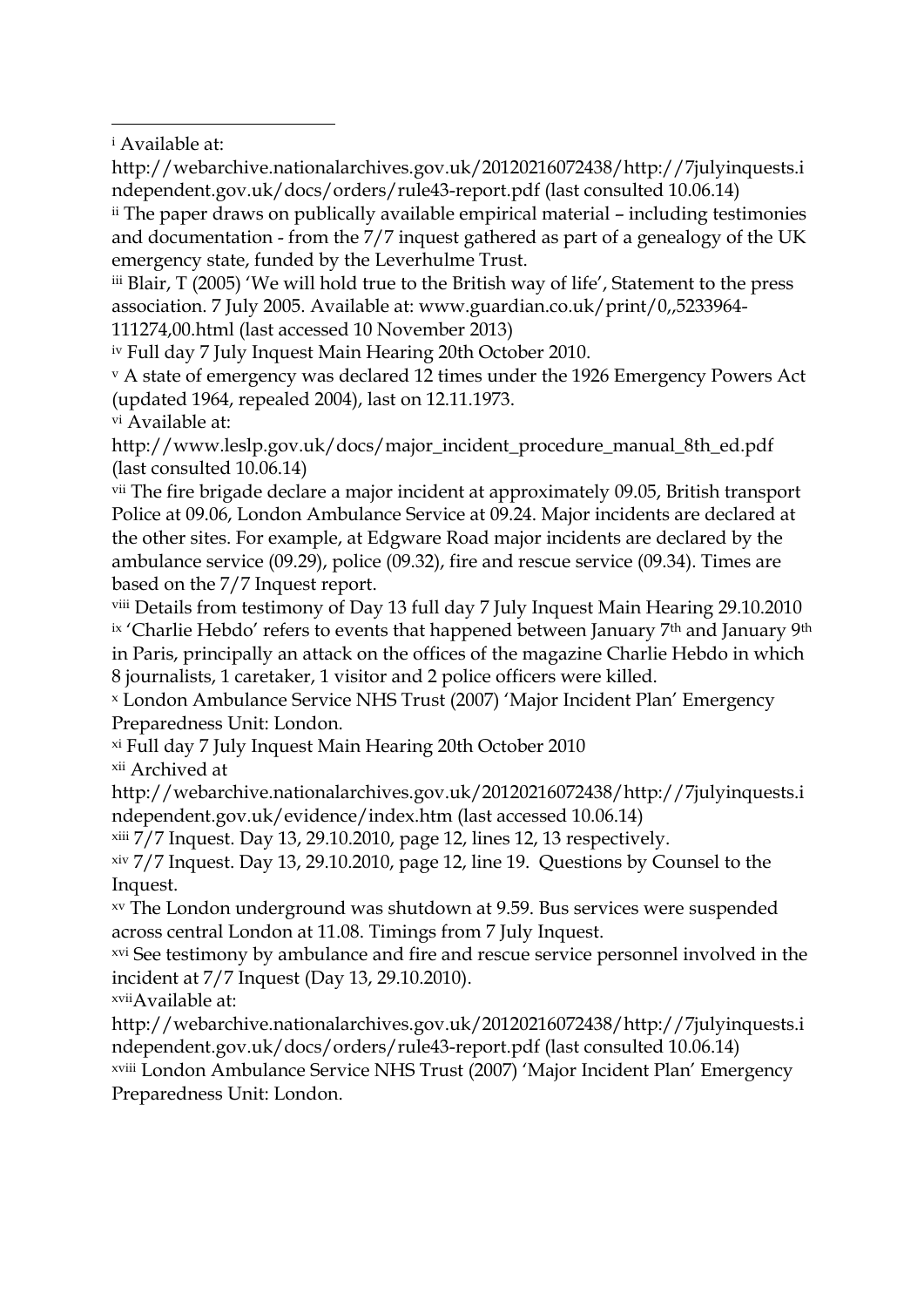<sup>i</sup> Available at:

1

http://webarchive.nationalarchives.gov.uk/20120216072438/http://7julyinquests.i ndependent.gov.uk/docs/orders/rule43-report.pdf (last consulted 10.06.14)

ii The paper draws on publically available empirical material – including testimonies and documentation - from the 7/7 inquest gathered as part of a genealogy of the UK emergency state, funded by the Leverhulme Trust.

iii Blair, T (2005) 'We will hold true to the British way of life', Statement to the press association. 7 July 2005. Available at: www.guardian.co.uk/print/0,,5233964- 111274,00.html (last accessed 10 November 2013)

iv Full day 7 July Inquest Main Hearing 20th October 2010.

<sup>v</sup> A state of emergency was declared 12 times under the 1926 Emergency Powers Act (updated 1964, repealed 2004), last on 12.11.1973.

vi Available at:

http://www.leslp.gov.uk/docs/major\_incident\_procedure\_manual\_8th\_ed.pdf (last consulted 10.06.14)

vii The fire brigade declare a major incident at approximately 09.05, British transport Police at 09.06, London Ambulance Service at 09.24. Major incidents are declared at the other sites. For example, at Edgware Road major incidents are declared by the ambulance service (09.29), police (09.32), fire and rescue service (09.34). Times are based on the 7/7 Inquest report.

viii Details from testimony of Day 13 full day 7 July Inquest Main Hearing 29.10.2010 ix 'Charlie Hebdo' refers to events that happened between January 7<sup>th</sup> and January 9<sup>th</sup> in Paris, principally an attack on the offices of the magazine Charlie Hebdo in which 8 journalists, 1 caretaker, 1 visitor and 2 police officers were killed.

<sup>x</sup> London Ambulance Service NHS Trust (2007) 'Major Incident Plan' Emergency Preparedness Unit: London.

xi Full day 7 July Inquest Main Hearing 20th October 2010

xii Archived at

http://webarchive.nationalarchives.gov.uk/20120216072438/http://7julyinquests.i ndependent.gov.uk/evidence/index.htm (last accessed 10.06.14)

xiii 7/7 Inquest. Day 13, 29.10.2010, page 12, lines 12, 13 respectively.

xiv 7/7 Inquest. Day 13, 29.10.2010, page 12, line 19. Questions by Counsel to the Inquest.

xv The London underground was shutdown at 9.59. Bus services were suspended across central London at 11.08. Timings from 7 July Inquest.

xvi See testimony by ambulance and fire and rescue service personnel involved in the incident at 7/7 Inquest (Day 13, 29.10.2010).

xviiAvailable at:

http://webarchive.nationalarchives.gov.uk/20120216072438/http://7julyinquests.i ndependent.gov.uk/docs/orders/rule43-report.pdf (last consulted 10.06.14) xviii London Ambulance Service NHS Trust (2007) 'Major Incident Plan' Emergency Preparedness Unit: London.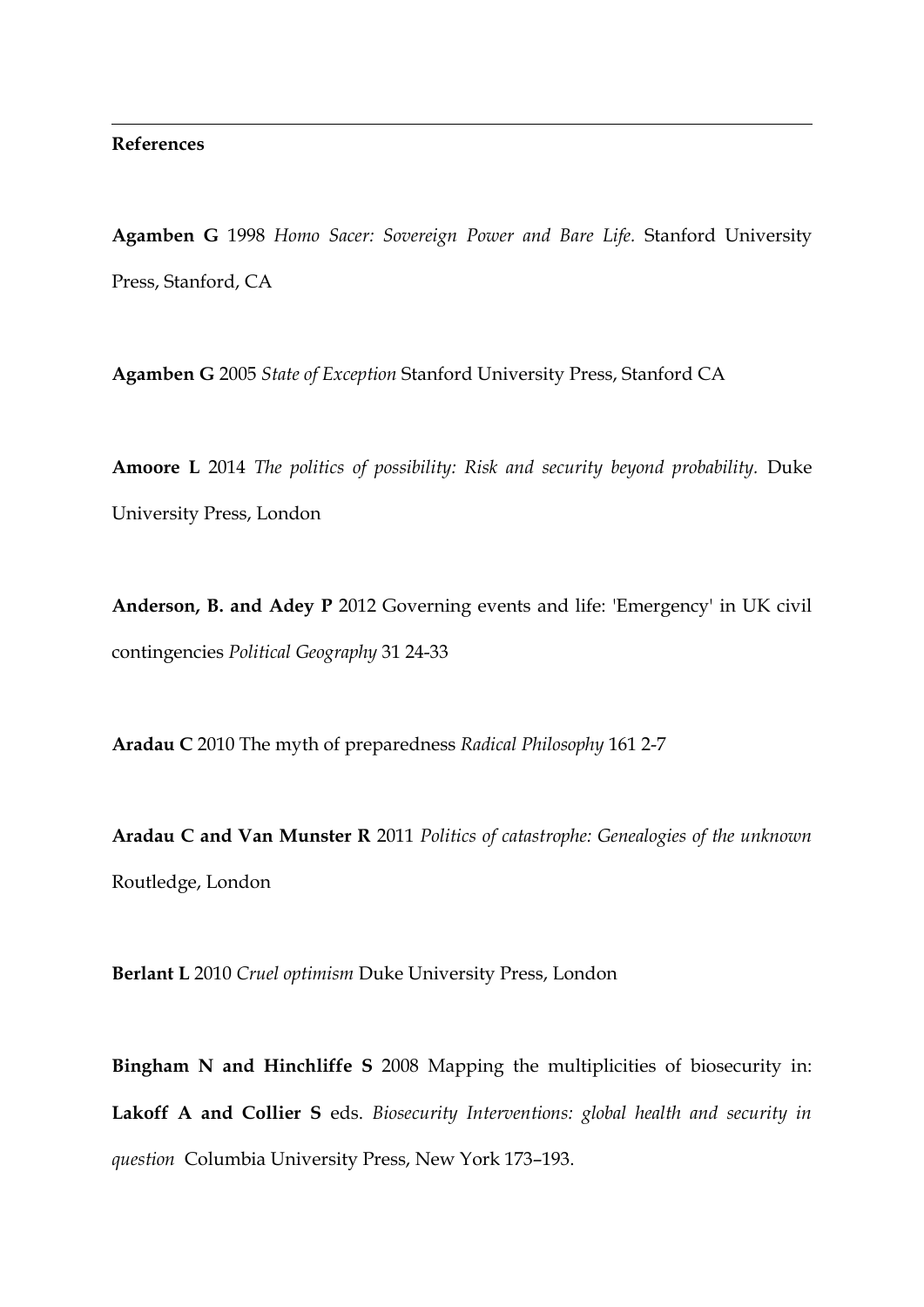### **References**

1

**Agamben G** 1998 *Homo Sacer: Sovereign Power and Bare Life.* Stanford University Press, Stanford, CA

**Agamben G** 2005 *State of Exception* Stanford University Press, Stanford CA

**Amoore L** 2014 *The politics of possibility: Risk and security beyond probability.* Duke University Press, London

**Anderson, B. and Adey P** 2012 Governing events and life: 'Emergency' in UK civil contingencies *Political Geography* 31 24-33

**Aradau C** 2010 The myth of preparedness *Radical Philosophy* 161 2-7

**Aradau C and Van Munster R** 2011 *Politics of catastrophe: Genealogies of the unknown*  Routledge, London

**Berlant L** 2010 *Cruel optimism* Duke University Press, London

**Bingham N and Hinchliffe S** 2008 Mapping the multiplicities of biosecurity in: **Lakoff A and Collier S** eds. *Biosecurity Interventions: global health and security in question* Columbia University Press, New York 173–193.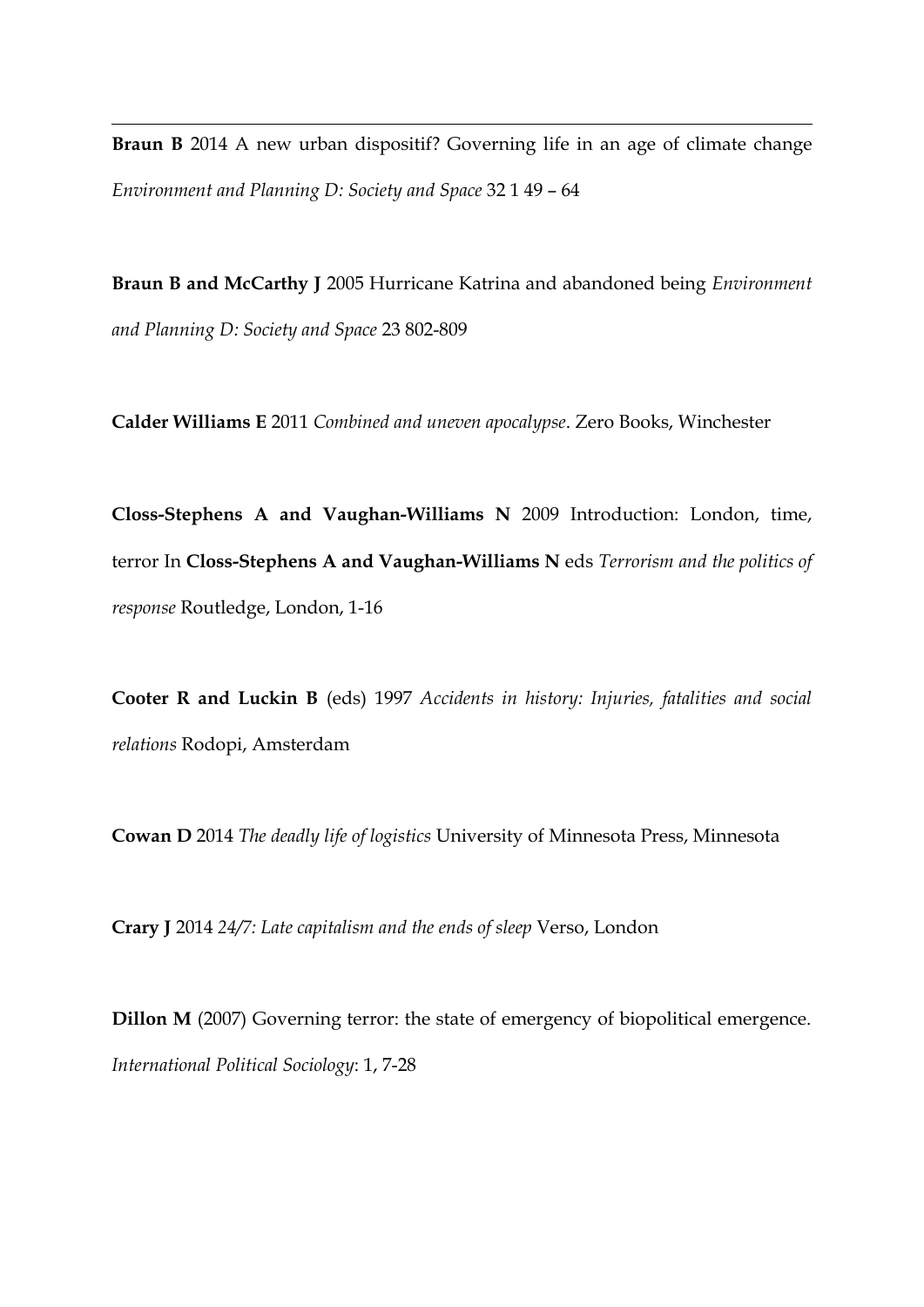**Braun B** 2014 A new urban dispositif? Governing life in an age of climate change *Environment and Planning D: Society and Space* 32 1 49 – 64

1

**Braun B and McCarthy J** 2005 Hurricane Katrina and abandoned being *Environment and Planning D: Society and Space* 23 802-809

**Calder Williams E** 2011 *Combined and uneven apocalypse*. Zero Books, Winchester

**Closs-Stephens A and Vaughan-Williams N** 2009 Introduction: London, time, terror In **Closs-Stephens A and Vaughan-Williams N** eds *Terrorism and the politics of response* Routledge, London, 1-16

**Cooter R and Luckin B** (eds) 1997 *Accidents in history: Injuries, fatalities and social relations* Rodopi, Amsterdam

**Cowan D** 2014 *The deadly life of logistics* University of Minnesota Press, Minnesota

**Crary J** 2014 *24/7: Late capitalism and the ends of sleep* Verso, London

**Dillon M** (2007) Governing terror: the state of emergency of biopolitical emergence. *International Political Sociology*: 1, 7-28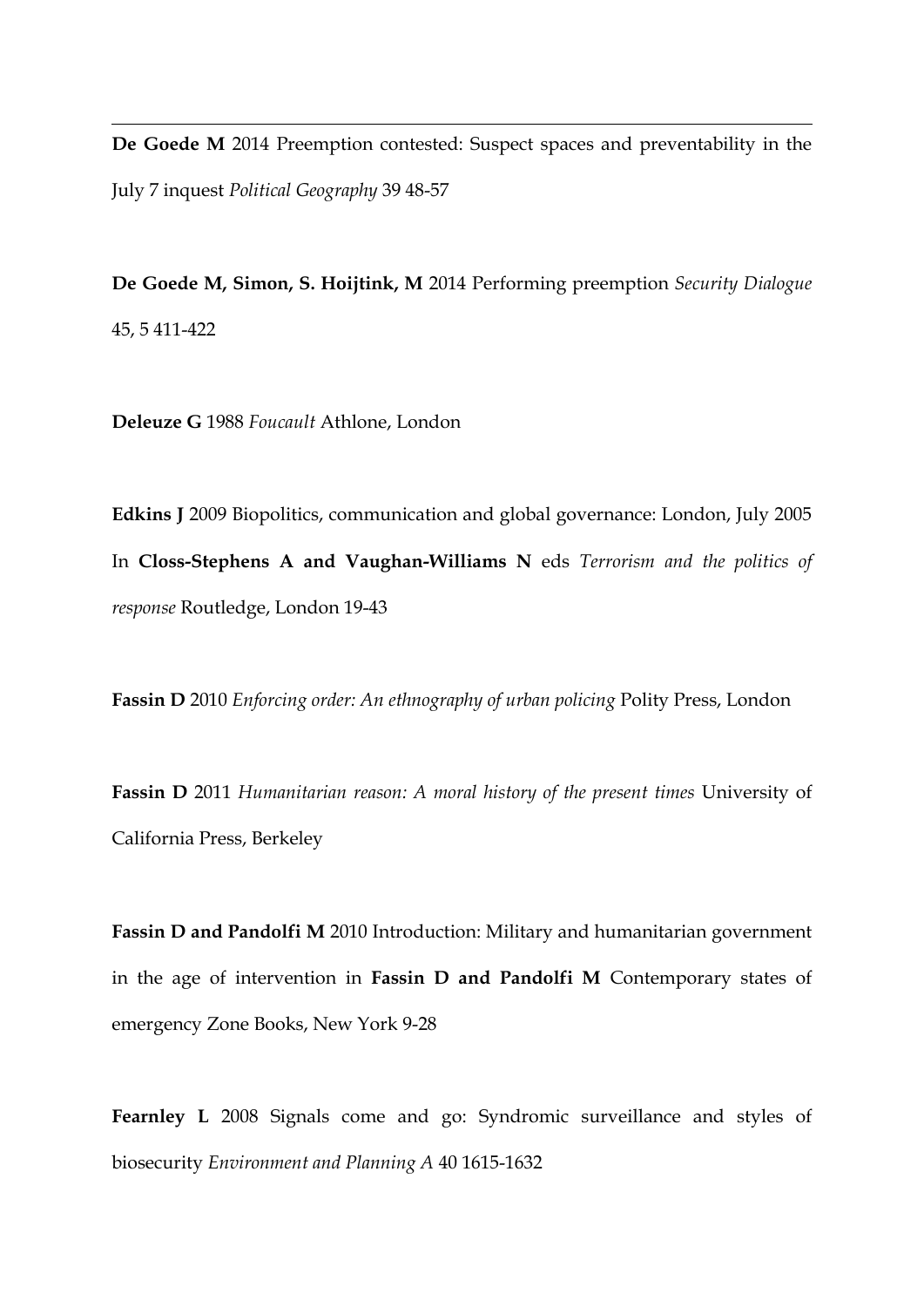**De Goede M** 2014 Preemption contested: Suspect spaces and preventability in the July 7 inquest *Political Geography* 39 48-57

**De Goede M, Simon, S. Hoijtink, M** 2014 Performing preemption *Security Dialogue* 45, 5 411-422

**Deleuze G** 1988 *Foucault* Athlone, London

1

**Edkins J** 2009 Biopolitics, communication and global governance: London, July 2005 In **Closs-Stephens A and Vaughan-Williams N** eds *Terrorism and the politics of response* Routledge, London 19-43

**Fassin D** 2010 *Enforcing order: An ethnography of urban policing* Polity Press, London

**Fassin D** 2011 *Humanitarian reason: A moral history of the present times* University of California Press, Berkeley

**Fassin D and Pandolfi M** 2010 Introduction: Military and humanitarian government in the age of intervention in **Fassin D and Pandolfi M** Contemporary states of emergency Zone Books, New York 9-28

**Fearnley L** 2008 Signals come and go: Syndromic surveillance and styles of biosecurity *Environment and Planning A* 40 1615-1632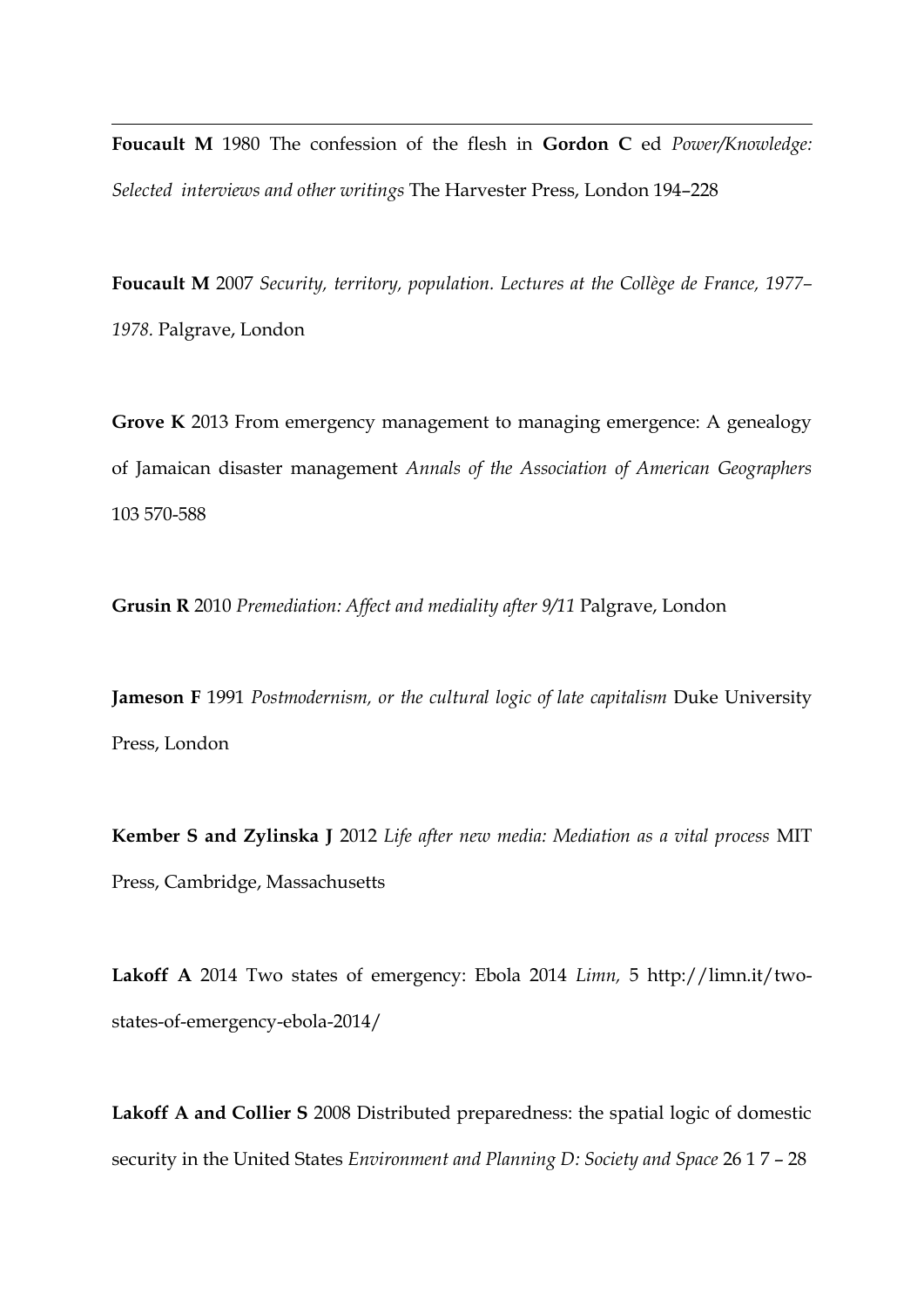**Foucault M** 1980 The confession of the flesh in **Gordon C** ed *Power/Knowledge: Selected interviews and other writings* The Harvester Press, London 194–228

1

**Foucault M** 2007 *Security, territory, population. Lectures at the Collège de France, 1977– 1978.* Palgrave, London

**Grove K** 2013 From emergency management to managing emergence: A genealogy of Jamaican disaster management *Annals of the Association of American Geographers*  103 570-588

**Grusin R** 2010 *Premediation: Affect and mediality after 9/11* Palgrave, London

**Jameson F** 1991 *Postmodernism, or the cultural logic of late capitalism* Duke University Press, London

**Kember S and Zylinska J** 2012 *Life after new media: Mediation as a vital process* MIT Press, Cambridge, Massachusetts

**Lakoff A** 2014 Two states of emergency: Ebola 2014 *Limn,* 5 http://limn.it/twostates-of-emergency-ebola-2014/

**Lakoff A and Collier S** 2008 Distributed preparedness: the spatial logic of domestic security in the United States *Environment and Planning D: Society and Space* 26 1 7 – 28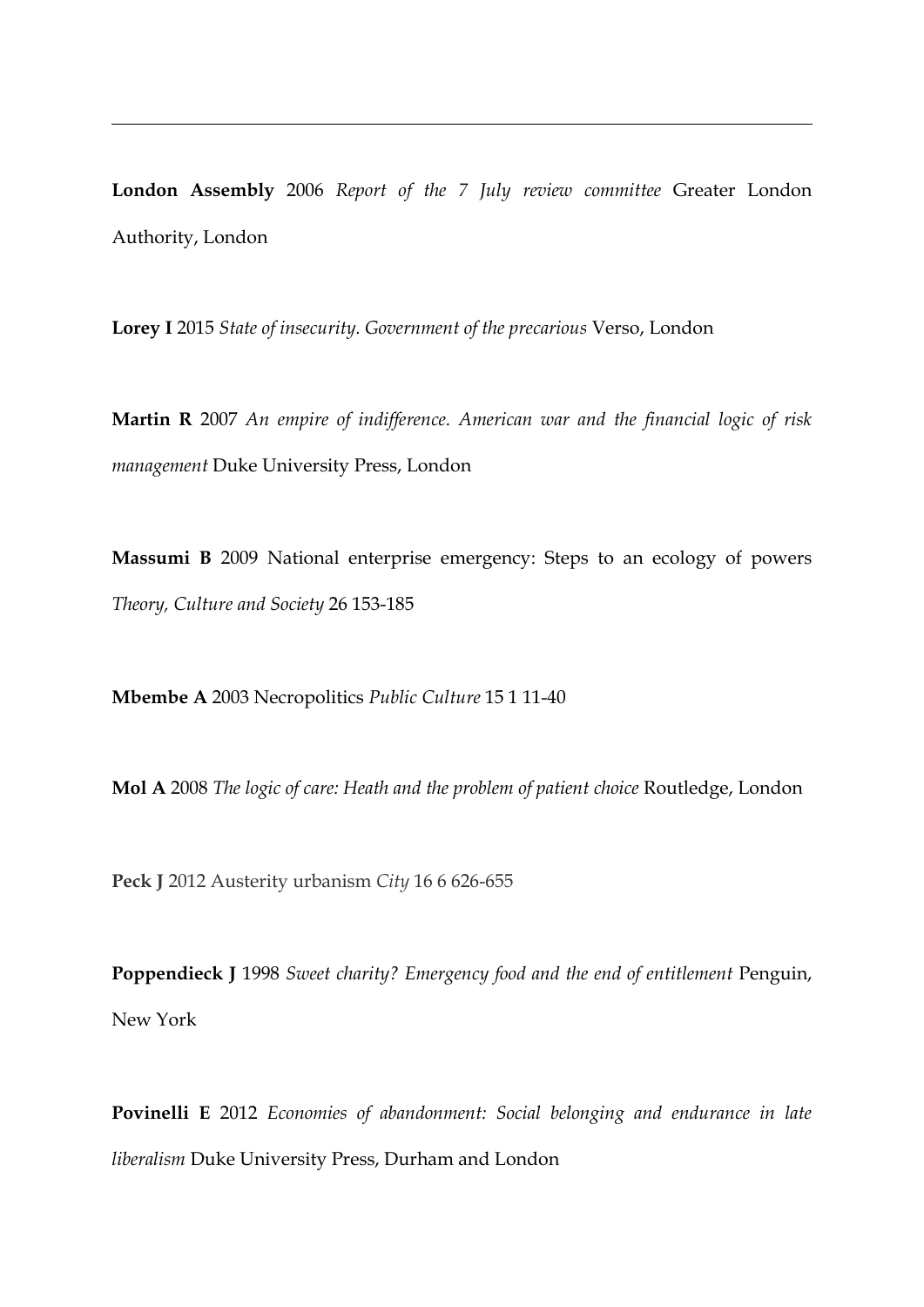**London Assembly** 2006 *Report of the 7 July review committee* Greater London Authority, London

**Lorey I** 2015 *State of insecurity. Government of the precarious* Verso, London

**Martin R** 2007 *An empire of indifference. American war and the financial logic of risk management* Duke University Press, London

**Massumi B** 2009 National enterprise emergency: Steps to an ecology of powers *Theory, Culture and Society* 26 153-185

**Mbembe A** 2003 Necropolitics *Public Culture* 15 1 11-40

1

**Mol A** 2008 *The logic of care: Heath and the problem of patient choice* Routledge, London

**Peck J** 2012 Austerity urbanism *City* 16 6 626-655

**Poppendieck J** 1998 *Sweet charity? Emergency food and the end of entitlement* Penguin, New York

**Povinelli E** 2012 *Economies of abandonment: Social belonging and endurance in late liberalism* Duke University Press, Durham and London